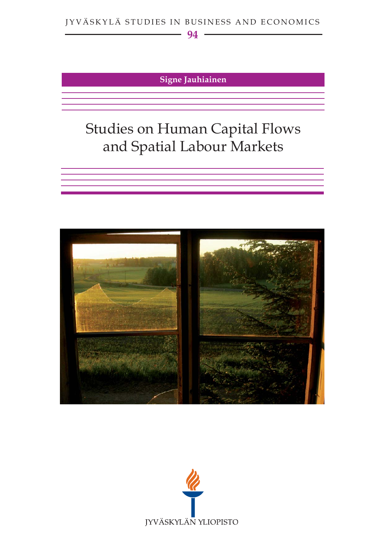**Signe Jauhiainen**

# Studies on Human Capital Flows and Spatial Labour Markets



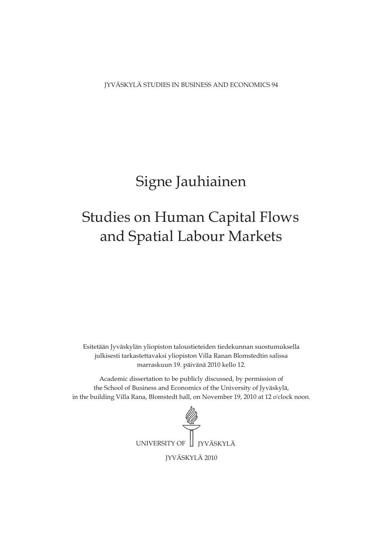JYVÄSKYLÄ STUDIES IN BUSINESS AND ECONOMICS 94

## Signe Jauhiainen

# and Spatial Labour Markets Studies on Human Capital Flows

Esitetään Jyväskylän yliopiston taloustieteiden tiedekunnan suostumuksella julkisesti tarkastettavaksi yliopiston Villa Ranan Blomstedtin salissa marraskuun 19. päivänä 2010 kello 12.

Academic dissertation to be publicly discussed, by permission of the School of Business and Economics of the University of Jyväskylä, in the building Villa Rana, Blomstedt hall, on November 19, 2010 at 12 o'clock noon.

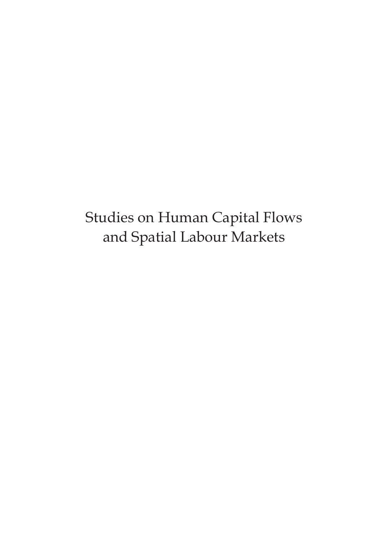# Studies on Human Capital Flows and Spatial Labour Markets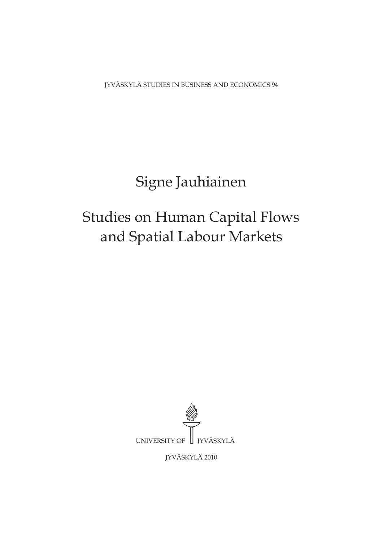JYVÄSKYLÄ STUDIES IN BUSINESS AND ECONOMICS 94

# Signe Jauhiainen

# Studies on Human Capital Flows and Spatial Labour Markets



JYVÄSKYLÄ 2010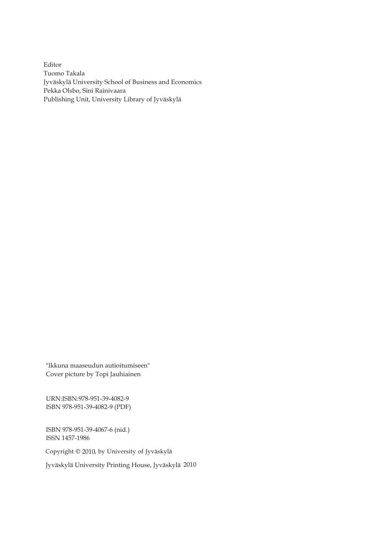Editor Tuomo Takala Jyväskylä University School of Business and Economics Pekka Olsbo, Sini Rainivaara Publishing Unit, University Library of Jyväskylä

"Ikkuna maaseudun autioitumiseen" Cover picture by Topi Jauhiainen

URN:ISBN:978-951-39-4082-9 ISBN 978-951-39-4082-9 (PDF)

ISBN 978-951-39-4067-6 (nid.) ISSN 1457-1986

Copyright © 2010, by University of Jyväskylä

Jyväskylä University Printing House, Jyväskylä 2010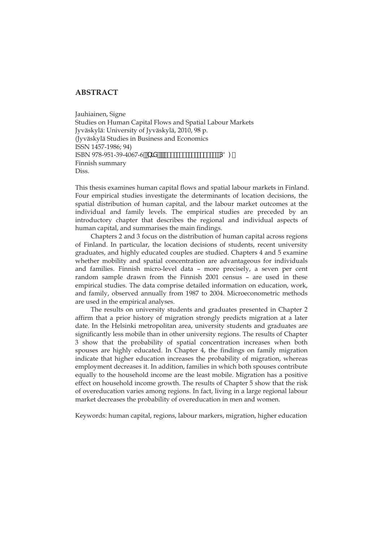## **ABSTRACT**

Jauhiainen, Signe Studies on Human Capital Flows and Spatial Labour Markets Jyväskylä: University of Jyväskylä, 2010, 98 p. (Jyväskylä Studies in Business and Economics ISSN 1457-1986; 94) ISBN 978-951-39-4067-6 fb]X'Ez-+, !- ) %' - !(  $\&$  & - fD8 :  $L$ Finnish summary Diss.

This thesis examines human capital flows and spatial labour markets in Finland. Four empirical studies investigate the determinants of location decisions, the spatial distribution of human capital, and the labour market outcomes at the individual and family levels. The empirical studies are preceded by an introductory chapter that describes the regional and individual aspects of human capital, and summarises the main findings.

Chapters 2 and 3 focus on the distribution of human capital across regions of Finland. In particular, the location decisions of students, recent university graduates, and highly educated couples are studied. Chapters 4 and 5 examine whether mobility and spatial concentration are advantageous for individuals and families. Finnish micro-level data – more precisely, a seven per cent random sample drawn from the Finnish 2001 census – are used in these empirical studies. The data comprise detailed information on education, work, and family, observed annually from 1987 to 2004. Microeconometric methods are used in the empirical analyses.

The results on university students and graduates presented in Chapter 2 affirm that a prior history of migration strongly predicts migration at a later date. In the Helsinki metropolitan area, university students and graduates are significantly less mobile than in other university regions. The results of Chapter 3 show that the probability of spatial concentration increases when both spouses are highly educated. In Chapter 4, the findings on family migration indicate that higher education increases the probability of migration, whereas employment decreases it. In addition, families in which both spouses contribute equally to the household income are the least mobile. Migration has a positive effect on household income growth. The results of Chapter 5 show that the risk of overeducation varies among regions. In fact, living in a large regional labour market decreases the probability of overeducation in men and women.

Keywords: human capital, regions, labour markers, migration, higher education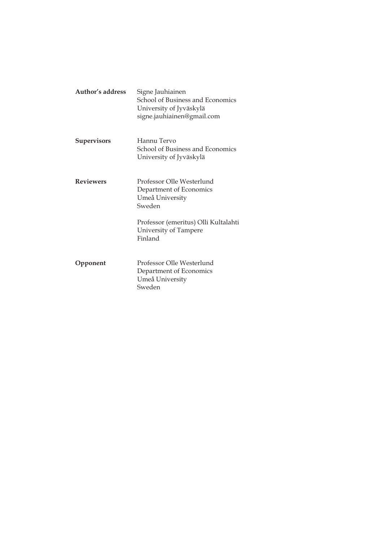| Author's address   | Signe Jauhiainen<br><b>School of Business and Economics</b><br>University of Jyväskylä<br>signe.jauhiainen@gmail.com |
|--------------------|----------------------------------------------------------------------------------------------------------------------|
| <b>Supervisors</b> | Hannu Tervo<br>School of Business and Economics<br>University of Jyväskylä                                           |
| <b>Reviewers</b>   | Professor Olle Westerlund<br>Department of Economics<br>Umeå University<br>Sweden                                    |
|                    | Professor (emeritus) Olli Kultalahti<br>University of Tampere<br>Finland                                             |
| Opponent           | Professor Olle Westerlund<br>Department of Economics<br>Umeå University<br>Sweden                                    |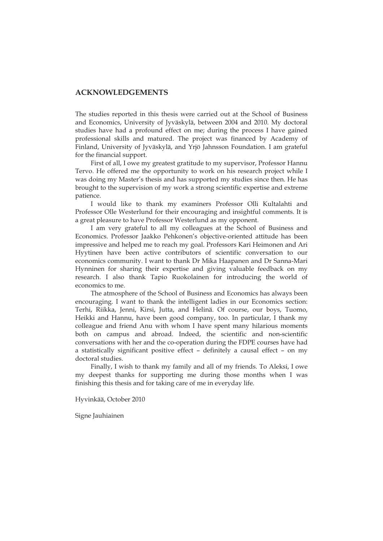## **ACKNOWLEDGEMENTS**

The studies reported in this thesis were carried out at the School of Business and Economics, University of Jyväskylä, between 2004 and 2010. My doctoral studies have had a profound effect on me; during the process I have gained professional skills and matured. The project was financed by Academy of Finland, University of Jyväskylä, and Yrjö Jahnsson Foundation. I am grateful for the financial support.

First of all, I owe my greatest gratitude to my supervisor, Professor Hannu Tervo. He offered me the opportunity to work on his research project while I was doing my Master's thesis and has supported my studies since then. He has brought to the supervision of my work a strong scientific expertise and extreme patience.

I would like to thank my examiners Professor Olli Kultalahti and Professor Olle Westerlund for their encouraging and insightful comments. It is a great pleasure to have Professor Westerlund as my opponent.

I am very grateful to all my colleagues at the School of Business and Economics. Professor Jaakko Pehkonen's objective-oriented attitude has been impressive and helped me to reach my goal. Professors Kari Heimonen and Ari Hyytinen have been active contributors of scientific conversation to our economics community. I want to thank Dr Mika Haapanen and Dr Sanna-Mari Hynninen for sharing their expertise and giving valuable feedback on my research. I also thank Tapio Ruokolainen for introducing the world of economics to me.

The atmosphere of the School of Business and Economics has always been encouraging. I want to thank the intelligent ladies in our Economics section: Terhi, Riikka, Jenni, Kirsi, Jutta, and Helinä. Of course, our boys, Tuomo, Heikki and Hannu, have been good company, too. In particular, I thank my colleague and friend Anu with whom I have spent many hilarious moments both on campus and abroad. Indeed, the scientific and non-scientific conversations with her and the co-operation during the FDPE courses have had a statistically significant positive effect – definitely a causal effect – on my doctoral studies.

Finally, I wish to thank my family and all of my friends. To Aleksi, I owe my deepest thanks for supporting me during those months when I was finishing this thesis and for taking care of me in everyday life.

Hyvinkää, October 2010

Signe Jauhiainen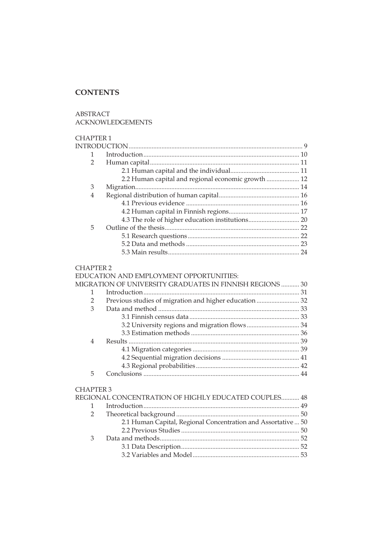## **CONTENTS**

## ABSTRACT ACKNOWLEDGEMENTS

## CHAPTER 1<br>INTRODUCT

| 2              |                                                    |    |
|----------------|----------------------------------------------------|----|
|                |                                                    |    |
|                | 2.2 Human capital and regional economic growth  12 |    |
| 3              |                                                    |    |
| $\overline{4}$ |                                                    |    |
|                |                                                    |    |
|                |                                                    |    |
|                |                                                    |    |
| 5              |                                                    |    |
|                |                                                    |    |
|                |                                                    |    |
|                |                                                    | 24 |

## CHAPTER 2

|                  | EDUCATION AND EMPLOYMENT OPPORTUNITIES:                       |  |
|------------------|---------------------------------------------------------------|--|
|                  | MIGRATION OF UNIVERSITY GRADUATES IN FINNISH REGIONS  30      |  |
| 1                |                                                               |  |
| 2                | Previous studies of migration and higher education  32        |  |
| 3                |                                                               |  |
|                  |                                                               |  |
|                  |                                                               |  |
|                  |                                                               |  |
| $\overline{4}$   |                                                               |  |
|                  |                                                               |  |
|                  |                                                               |  |
|                  |                                                               |  |
| 5                |                                                               |  |
| <b>CHAPTER 3</b> |                                                               |  |
|                  | REGIONAL CONCENTRATION OF HIGHLY EDUCATED COUPLES 48          |  |
| 1                |                                                               |  |
| 2                |                                                               |  |
|                  | 2.1 Human Capital, Regional Concentration and Assortative  50 |  |
|                  |                                                               |  |
| 3                |                                                               |  |
|                  |                                                               |  |
|                  |                                                               |  |
|                  |                                                               |  |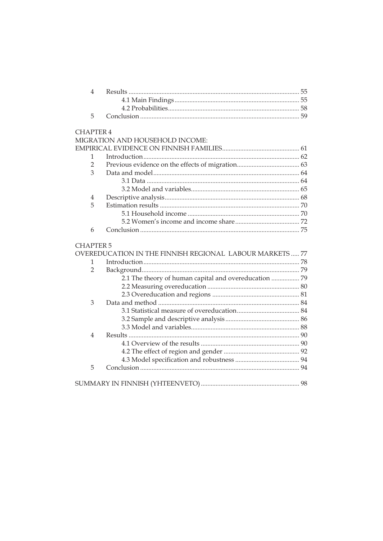| $\overline{4}$   |                                                          |  |
|------------------|----------------------------------------------------------|--|
|                  |                                                          |  |
|                  |                                                          |  |
| 5                |                                                          |  |
|                  |                                                          |  |
| <b>CHAPTER 4</b> |                                                          |  |
|                  | MIGRATION AND HOUSEHOLD INCOME:                          |  |
|                  |                                                          |  |
| 1                |                                                          |  |
| $\overline{2}$   |                                                          |  |
| 3                |                                                          |  |
|                  |                                                          |  |
|                  |                                                          |  |
| 4                |                                                          |  |
| 5                |                                                          |  |
|                  |                                                          |  |
|                  |                                                          |  |
| 6                |                                                          |  |
|                  |                                                          |  |
| <b>CHAPTER 5</b> |                                                          |  |
|                  | OVEREDUCATION IN THE FINNISH REGIONAL LABOUR MARKETS  77 |  |
| 1                |                                                          |  |
| 2                |                                                          |  |
|                  | 2.1 The theory of human capital and overeducation  79    |  |
|                  |                                                          |  |

 $\overline{3}$ 

 $\overline{4}$ 

5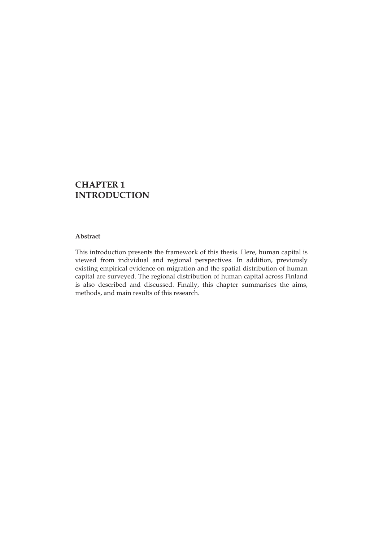## **CHAPTER 1 INTRODUCTION**

## **Abstract**

This introduction presents the framework of this thesis. Here, human capital is viewed from individual and regional perspectives. In addition, previously existing empirical evidence on migration and the spatial distribution of human capital are surveyed. The regional distribution of human capital across Finland is also described and discussed. Finally, this chapter summarises the aims, methods, and main results of this research.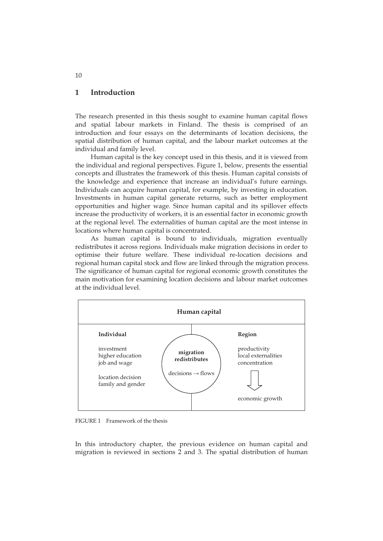### **1 Introduction**

The research presented in this thesis sought to examine human capital flows and spatial labour markets in Finland. The thesis is comprised of an introduction and four essays on the determinants of location decisions, the spatial distribution of human capital, and the labour market outcomes at the individual and family level.

Human capital is the key concept used in this thesis, and it is viewed from the individual and regional perspectives. Figure 1, below, presents the essential concepts and illustrates the framework of this thesis. Human capital consists of the knowledge and experience that increase an individual's future earnings. Individuals can acquire human capital, for example, by investing in education. Investments in human capital generate returns, such as better employment opportunities and higher wage. Since human capital and its spillover effects increase the productivity of workers, it is an essential factor in economic growth at the regional level. The externalities of human capital are the most intense in locations where human capital is concentrated.

As human capital is bound to individuals, migration eventually redistributes it across regions. Individuals make migration decisions in order to optimise their future welfare. These individual re-location decisions and regional human capital stock and flow are linked through the migration process. The significance of human capital for regional economic growth constitutes the main motivation for examining location decisions and labour market outcomes at the individual level.



FIGURE 1 Framework of the thesis

In this introductory chapter, the previous evidence on human capital and migration is reviewed in sections 2 and 3. The spatial distribution of human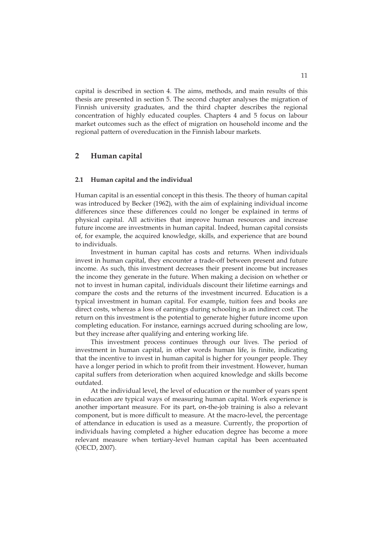capital is described in section 4. The aims, methods, and main results of this thesis are presented in section 5. The second chapter analyses the migration of Finnish university graduates, and the third chapter describes the regional concentration of highly educated couples. Chapters 4 and 5 focus on labour market outcomes such as the effect of migration on household income and the regional pattern of overeducation in the Finnish labour markets.

## **2 Human capital**

#### **2.1 Human capital and the individual**

Human capital is an essential concept in this thesis. The theory of human capital was introduced by Becker (1962), with the aim of explaining individual income differences since these differences could no longer be explained in terms of physical capital. All activities that improve human resources and increase future income are investments in human capital. Indeed, human capital consists of, for example, the acquired knowledge, skills, and experience that are bound to individuals.

Investment in human capital has costs and returns. When individuals invest in human capital, they encounter a trade-off between present and future income. As such, this investment decreases their present income but increases the income they generate in the future. When making a decision on whether or not to invest in human capital, individuals discount their lifetime earnings and compare the costs and the returns of the investment incurred. Education is a typical investment in human capital. For example, tuition fees and books are direct costs, whereas a loss of earnings during schooling is an indirect cost. The return on this investment is the potential to generate higher future income upon completing education. For instance, earnings accrued during schooling are low, but they increase after qualifying and entering working life.

This investment process continues through our lives. The period of investment in human capital, in other words human life, is finite, indicating that the incentive to invest in human capital is higher for younger people. They have a longer period in which to profit from their investment. However, human capital suffers from deterioration when acquired knowledge and skills become outdated.

At the individual level, the level of education or the number of years spent in education are typical ways of measuring human capital. Work experience is another important measure. For its part, on-the-job training is also a relevant component, but is more difficult to measure. At the macro-level, the percentage of attendance in education is used as a measure. Currently, the proportion of individuals having completed a higher education degree has become a more relevant measure when tertiary-level human capital has been accentuated (OECD, 2007).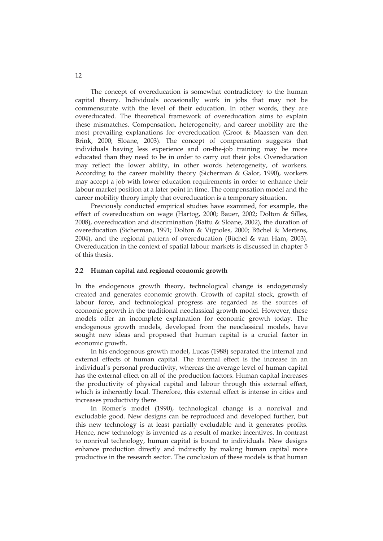The concept of overeducation is somewhat contradictory to the human capital theory. Individuals occasionally work in jobs that may not be commensurate with the level of their education. In other words, they are overeducated. The theoretical framework of overeducation aims to explain these mismatches. Compensation, heterogeneity, and career mobility are the most prevailing explanations for overeducation (Groot & Maassen van den Brink, 2000; Sloane, 2003). The concept of compensation suggests that individuals having less experience and on-the-job training may be more educated than they need to be in order to carry out their jobs. Overeducation may reflect the lower ability, in other words heterogeneity, of workers. According to the career mobility theory (Sicherman & Galor, 1990), workers may accept a job with lower education requirements in order to enhance their labour market position at a later point in time. The compensation model and the career mobility theory imply that overeducation is a temporary situation.

Previously conducted empirical studies have examined, for example, the effect of overeducation on wage (Hartog, 2000; Bauer, 2002; Dolton & Silles, 2008), overeducation and discrimination (Battu & Sloane, 2002), the duration of overeducation (Sicherman, 1991; Dolton & Vignoles, 2000; Büchel & Mertens, 2004), and the regional pattern of overeducation (Büchel & van Ham, 2003). Overeducation in the context of spatial labour markets is discussed in chapter 5 of this thesis.

#### **2.2 Human capital and regional economic growth**

In the endogenous growth theory, technological change is endogenously created and generates economic growth. Growth of capital stock, growth of labour force, and technological progress are regarded as the sources of economic growth in the traditional neoclassical growth model. However, these models offer an incomplete explanation for economic growth today. The endogenous growth models, developed from the neoclassical models, have sought new ideas and proposed that human capital is a crucial factor in economic growth.

In his endogenous growth model, Lucas (1988) separated the internal and external effects of human capital. The internal effect is the increase in an individual's personal productivity, whereas the average level of human capital has the external effect on all of the production factors. Human capital increases the productivity of physical capital and labour through this external effect, which is inherently local. Therefore, this external effect is intense in cities and increases productivity there.

In Romer's model (1990), technological change is a nonrival and excludable good. New designs can be reproduced and developed further, but this new technology is at least partially excludable and it generates profits. Hence, new technology is invented as a result of market incentives. In contrast to nonrival technology, human capital is bound to individuals. New designs enhance production directly and indirectly by making human capital more productive in the research sector. The conclusion of these models is that human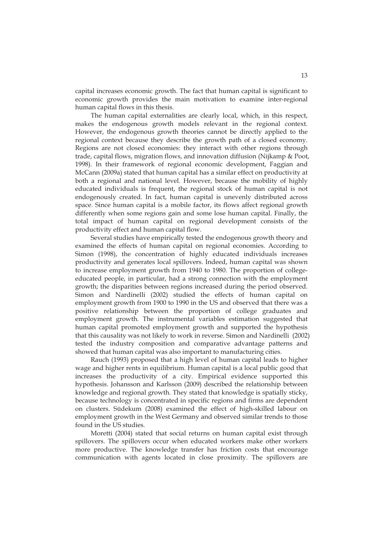capital increases economic growth. The fact that human capital is significant to economic growth provides the main motivation to examine inter-regional human capital flows in this thesis.

The human capital externalities are clearly local, which, in this respect, makes the endogenous growth models relevant in the regional context. However, the endogenous growth theories cannot be directly applied to the regional context because they describe the growth path of a closed economy. Regions are not closed economies: they interact with other regions through trade, capital flows, migration flows, and innovation diffusion (Nijkamp & Poot, 1998). In their framework of regional economic development, Faggian and McCann (2009a) stated that human capital has a similar effect on productivity at both a regional and national level. However, because the mobility of highly educated individuals is frequent, the regional stock of human capital is not endogenously created. In fact, human capital is unevenly distributed across space. Since human capital is a mobile factor, its flows affect regional growth differently when some regions gain and some lose human capital. Finally, the total impact of human capital on regional development consists of the productivity effect and human capital flow.

Several studies have empirically tested the endogenous growth theory and examined the effects of human capital on regional economies. According to Simon (1998), the concentration of highly educated individuals increases productivity and generates local spillovers. Indeed, human capital was shown to increase employment growth from 1940 to 1980. The proportion of collegeeducated people, in particular, had a strong connection with the employment growth; the disparities between regions increased during the period observed. Simon and Nardinelli (2002) studied the effects of human capital on employment growth from 1900 to 1990 in the US and observed that there was a positive relationship between the proportion of college graduates and employment growth. The instrumental variables estimation suggested that human capital promoted employment growth and supported the hypothesis that this causality was not likely to work in reverse. Simon and Nardinelli (2002) tested the industry composition and comparative advantage patterns and showed that human capital was also important to manufacturing cities.

Rauch (1993) proposed that a high level of human capital leads to higher wage and higher rents in equilibrium. Human capital is a local public good that increases the productivity of a city. Empirical evidence supported this hypothesis. Johansson and Karlsson (2009) described the relationship between knowledge and regional growth. They stated that knowledge is spatially sticky, because technology is concentrated in specific regions and firms are dependent on clusters. Südekum (2008) examined the effect of high-skilled labour on employment growth in the West Germany and observed similar trends to those found in the US studies.

Moretti (2004) stated that social returns on human capital exist through spillovers. The spillovers occur when educated workers make other workers more productive. The knowledge transfer has friction costs that encourage communication with agents located in close proximity. The spillovers are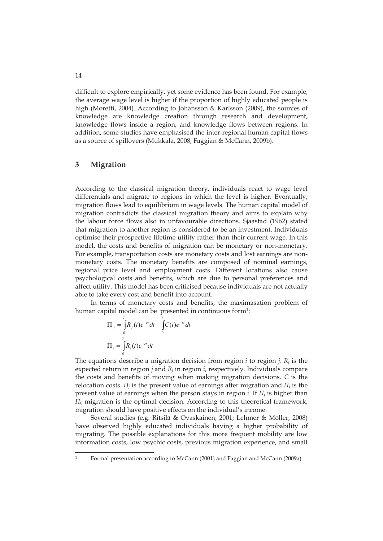difficult to explore empirically, yet some evidence has been found. For example, the average wage level is higher if the proportion of highly educated people is high (Moretti, 2004). According to Johansson & Karlsson (2009), the sources of knowledge are knowledge creation through research and development, knowledge flows inside a region, and knowledge flows between regions. In addition, some studies have emphasised the inter-regional human capital flows as a source of spillovers (Mukkala, 2008; Faggian & McCann, 2009b).

## **3 Migration**

According to the classical migration theory, individuals react to wage level differentials and migrate to regions in which the level is higher. Eventually, migration flows lead to equilibrium in wage levels. The human capital model of migration contradicts the classical migration theory and aims to explain why the labour force flows also in unfavourable directions. Sjaastad (1962) stated that migration to another region is considered to be an investment. Individuals optimise their prospective lifetime utility rather than their current wage. In this model, the costs and benefits of migration can be monetary or non-monetary. For example, transportation costs are monetary costs and lost earnings are nonmonetary costs. The monetary benefits are composed of nominal earnings, regional price level and employment costs. Different locations also cause psychological costs and benefits, which are due to personal preferences and affect utility. This model has been criticised because individuals are not actually able to take every cost and benefit into account.

In terms of monetary costs and benefits, the maximasation problem of human capital model can be presented in continuous form<sup>1</sup>:

$$
\Pi_j = \int_0^T R_j(t)e^{-rt}dt - \int_0^T C(t)e^{-rt}dt
$$
  

$$
\Pi_i = \int_0^T R_i(t)e^{-rt}dt
$$

The equations describe a migration decision from region *i* to region *j. Rj* is the expected return in region *j* and *Rj* in region *i*, respectively*.* Individuals compare the costs and benefits of moving when making migration decisions. *C* is the relocation costs.  $\Pi_j$  is the present value of earnings after migration and  $\Pi_i$  is the present value of earnings when the person stays in region *i*. If  $\Pi_j$  is higher than *-<sup>i</sup>*, migration is the optimal decision. According to this theoretical framework, migration should have positive effects on the individual's income.

Several studies (e.g. Ritsilä & Ovaskainen, 2001; Lehmer & Möller, 2008) have observed highly educated individuals having a higher probability of migrating. The possible explanations for this more frequent mobility are low information costs, low psychic costs, previous migration experience, and small

<sup>-</sup>1 Formal presentation according to McCann (2001) and Faggian and McCann (2009a)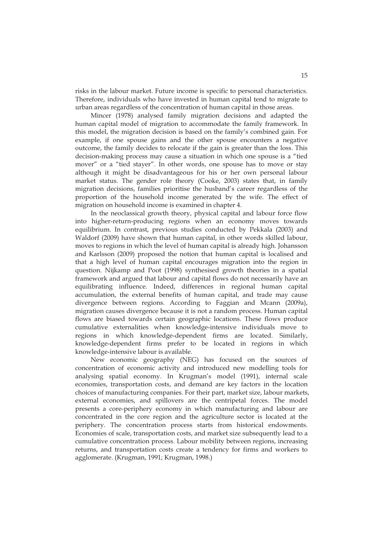risks in the labour market. Future income is specific to personal characteristics. Therefore, individuals who have invested in human capital tend to migrate to urban areas regardless of the concentration of human capital in those areas.

Mincer (1978) analysed family migration decisions and adapted the human capital model of migration to accommodate the family framework. In this model, the migration decision is based on the family's combined gain. For example, if one spouse gains and the other spouse encounters a negative outcome, the family decides to relocate if the gain is greater than the loss. This decision-making process may cause a situation in which one spouse is a "tied mover" or a "tied stayer". In other words, one spouse has to move or stay although it might be disadvantageous for his or her own personal labour market status. The gender role theory (Cooke, 2003) states that, in family migration decisions, families prioritise the husband's career regardless of the proportion of the household income generated by the wife. The effect of migration on household income is examined in chapter 4.

In the neoclassical growth theory, physical capital and labour force flow into higher-return-producing regions when an economy moves towards equilibrium. In contrast, previous studies conducted by Pekkala (2003) and Waldorf (2009) have shown that human capital, in other words skilled labour, moves to regions in which the level of human capital is already high. Johansson and Karlsson (2009) proposed the notion that human capital is localised and that a high level of human capital encourages migration into the region in question. Nijkamp and Poot (1998) synthesised growth theories in a spatial framework and argued that labour and capital flows do not necessarily have an equilibrating influence. Indeed, differences in regional human capital accumulation, the external benefits of human capital, and trade may cause divergence between regions. According to Faggian and Mcann (2009a), migration causes divergence because it is not a random process. Human capital flows are biased towards certain geographic locations. These flows produce cumulative externalities when knowledge-intensive individuals move to regions in which knowledge-dependent firms are located. Similarly, knowledge-dependent firms prefer to be located in regions in which knowledge-intensive labour is available.

New economic geography (NEG) has focused on the sources of concentration of economic activity and introduced new modelling tools for analysing spatial economy. In Krugman's model (1991), internal scale economies, transportation costs, and demand are key factors in the location choices of manufacturing companies. For their part, market size, labour markets, external economies, and spillovers are the centripetal forces. The model presents a core-periphery economy in which manufacturing and labour are concentrated in the core region and the agriculture sector is located at the periphery. The concentration process starts from historical endowments. Economies of scale, transportation costs, and market size subsequently lead to a cumulative concentration process. Labour mobility between regions, increasing returns, and transportation costs create a tendency for firms and workers to agglomerate. (Krugman, 1991; Krugman, 1998.)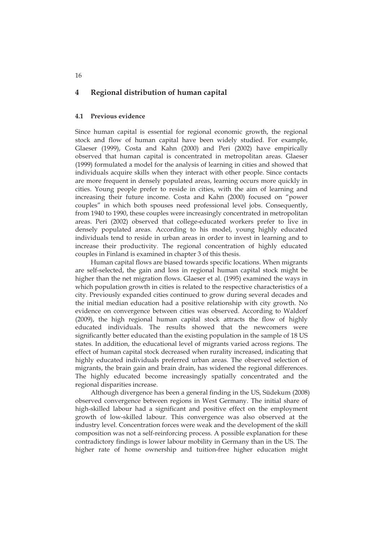## **4 Regional distribution of human capital**

#### **4.1 Previous evidence**

Since human capital is essential for regional economic growth, the regional stock and flow of human capital have been widely studied. For example, Glaeser (1999), Costa and Kahn (2000) and Peri (2002) have empirically observed that human capital is concentrated in metropolitan areas. Glaeser (1999) formulated a model for the analysis of learning in cities and showed that individuals acquire skills when they interact with other people. Since contacts are more frequent in densely populated areas, learning occurs more quickly in cities. Young people prefer to reside in cities, with the aim of learning and increasing their future income. Costa and Kahn (2000) focused on "power couples" in which both spouses need professional level jobs. Consequently, from 1940 to 1990, these couples were increasingly concentrated in metropolitan areas. Peri (2002) observed that college-educated workers prefer to live in densely populated areas. According to his model, young highly educated individuals tend to reside in urban areas in order to invest in learning and to increase their productivity. The regional concentration of highly educated couples in Finland is examined in chapter 3 of this thesis.

Human capital flows are biased towards specific locations. When migrants are self-selected, the gain and loss in regional human capital stock might be higher than the net migration flows. Glaeser et al. (1995) examined the ways in which population growth in cities is related to the respective characteristics of a city. Previously expanded cities continued to grow during several decades and the initial median education had a positive relationship with city growth. No evidence on convergence between cities was observed. According to Waldorf (2009), the high regional human capital stock attracts the flow of highly educated individuals. The results showed that the newcomers were significantly better educated than the existing population in the sample of 18 US states. In addition, the educational level of migrants varied across regions. The effect of human capital stock decreased when rurality increased, indicating that highly educated individuals preferred urban areas. The observed selection of migrants, the brain gain and brain drain, has widened the regional differences. The highly educated become increasingly spatially concentrated and the regional disparities increase.

Although divergence has been a general finding in the US, Südekum (2008) observed convergence between regions in West Germany. The initial share of high-skilled labour had a significant and positive effect on the employment growth of low-skilled labour. This convergence was also observed at the industry level. Concentration forces were weak and the development of the skill composition was not a self-reinforcing process. A possible explanation for these contradictory findings is lower labour mobility in Germany than in the US. The higher rate of home ownership and tuition-free higher education might

16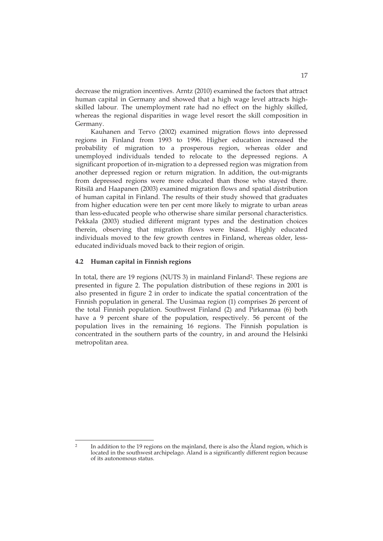decrease the migration incentives. Arntz (2010) examined the factors that attract human capital in Germany and showed that a high wage level attracts highskilled labour. The unemployment rate had no effect on the highly skilled, whereas the regional disparities in wage level resort the skill composition in Germany.

Kauhanen and Tervo (2002) examined migration flows into depressed regions in Finland from 1993 to 1996. Higher education increased the probability of migration to a prosperous region, whereas older and unemployed individuals tended to relocate to the depressed regions. A significant proportion of in-migration to a depressed region was migration from another depressed region or return migration. In addition, the out-migrants from depressed regions were more educated than those who stayed there. Ritsilä and Haapanen (2003) examined migration flows and spatial distribution of human capital in Finland. The results of their study showed that graduates from higher education were ten per cent more likely to migrate to urban areas than less-educated people who otherwise share similar personal characteristics. Pekkala (2003) studied different migrant types and the destination choices therein, observing that migration flows were biased. Highly educated individuals moved to the few growth centres in Finland, whereas older, lesseducated individuals moved back to their region of origin.

#### **4.2 Human capital in Finnish regions**

In total, there are 19 regions (NUTS 3) in mainland Finland2. These regions are presented in figure 2. The population distribution of these regions in 2001 is also presented in figure 2 in order to indicate the spatial concentration of the Finnish population in general. The Uusimaa region (1) comprises 26 percent of the total Finnish population. Southwest Finland (2) and Pirkanmaa (6) both have a 9 percent share of the population, respectively. 56 percent of the population lives in the remaining 16 regions. The Finnish population is concentrated in the southern parts of the country, in and around the Helsinki metropolitan area.

<sup>-</sup>In addition to the 19 regions on the mainland, there is also the Åland region, which is located in the southwest archipelago. Åland is a significantly different region because of its autonomous status.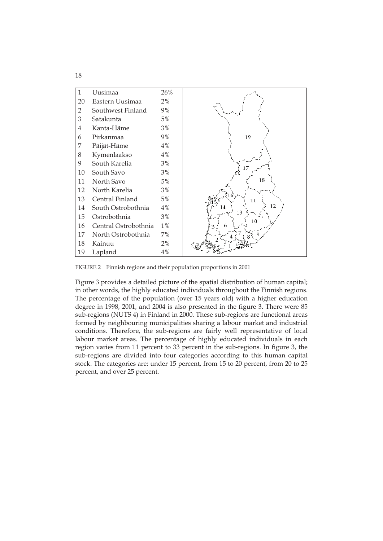

FIGURE 2 Finnish regions and their population proportions in 2001

Figure 3 provides a detailed picture of the spatial distribution of human capital; in other words, the highly educated individuals throughout the Finnish regions. The percentage of the population (over 15 years old) with a higher education degree in 1998, 2001, and 2004 is also presented in the figure 3. There were 85 sub-regions (NUTS 4) in Finland in 2000. These sub-regions are functional areas formed by neighbouring municipalities sharing a labour market and industrial conditions. Therefore, the sub-regions are fairly well representative of local labour market areas. The percentage of highly educated individuals in each region varies from 11 percent to 33 percent in the sub-regions. In figure 3, the sub-regions are divided into four categories according to this human capital stock. The categories are: under 15 percent, from 15 to 20 percent, from 20 to 25 percent, and over 25 percent.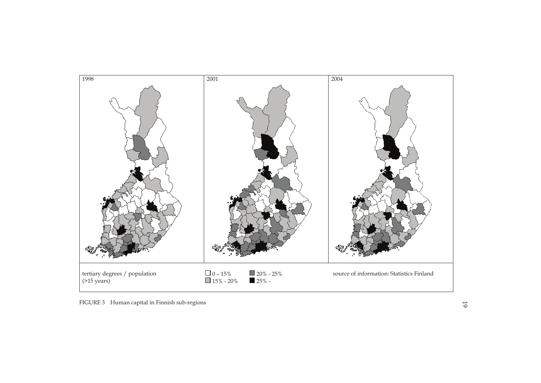

FIGURE 3 Human capital in Finnish sub-regions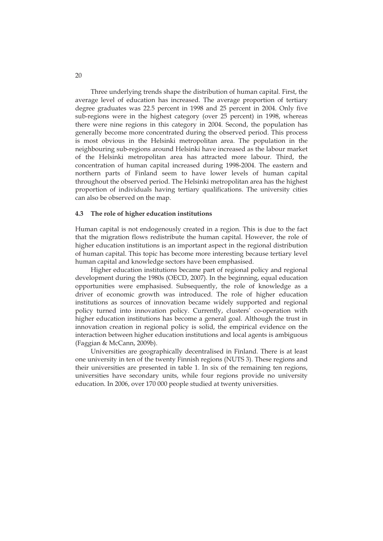Three underlying trends shape the distribution of human capital. First, the average level of education has increased. The average proportion of tertiary degree graduates was 22.5 percent in 1998 and 25 percent in 2004. Only five sub-regions were in the highest category (over 25 percent) in 1998, whereas there were nine regions in this category in 2004. Second, the population has generally become more concentrated during the observed period. This process is most obvious in the Helsinki metropolitan area. The population in the neighbouring sub-regions around Helsinki have increased as the labour market of the Helsinki metropolitan area has attracted more labour. Third, the concentration of human capital increased during 1998-2004. The eastern and northern parts of Finland seem to have lower levels of human capital throughout the observed period. The Helsinki metropolitan area has the highest proportion of individuals having tertiary qualifications. The university cities can also be observed on the map.

#### **4.3 The role of higher education institutions**

Human capital is not endogenously created in a region. This is due to the fact that the migration flows redistribute the human capital. However, the role of higher education institutions is an important aspect in the regional distribution of human capital. This topic has become more interesting because tertiary level human capital and knowledge sectors have been emphasised.

Higher education institutions became part of regional policy and regional development during the 1980s (OECD, 2007). In the beginning, equal education opportunities were emphasised. Subsequently, the role of knowledge as a driver of economic growth was introduced. The role of higher education institutions as sources of innovation became widely supported and regional policy turned into innovation policy. Currently, clusters' co-operation with higher education institutions has become a general goal. Although the trust in innovation creation in regional policy is solid, the empirical evidence on the interaction between higher education institutions and local agents is ambiguous (Faggian & McCann, 2009b).

Universities are geographically decentralised in Finland. There is at least one university in ten of the twenty Finnish regions (NUTS 3). These regions and their universities are presented in table 1. In six of the remaining ten regions, universities have secondary units, while four regions provide no university education. In 2006, over 170 000 people studied at twenty universities.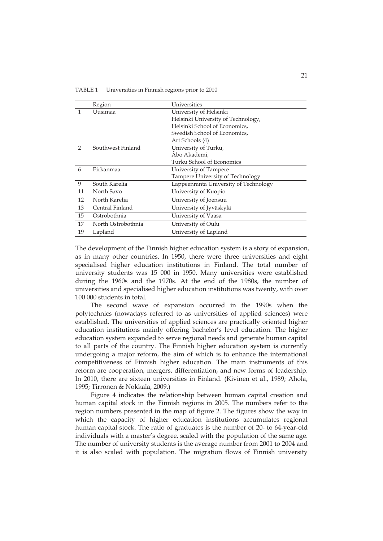TABLE 1 Universities in Finnish regions prior to 2010

|               | Region             | Universities                          |  |  |  |
|---------------|--------------------|---------------------------------------|--|--|--|
|               | Uusimaa            | University of Helsinki                |  |  |  |
|               |                    | Helsinki University of Technology,    |  |  |  |
|               |                    | Helsinki School of Economics,         |  |  |  |
|               |                    | Swedish School of Economics,          |  |  |  |
|               |                    | Art Schools (4)                       |  |  |  |
| $\mathcal{P}$ | Southwest Finland  | University of Turku,                  |  |  |  |
|               |                    | Åbo Akademi,                          |  |  |  |
|               |                    | Turku School of Economics             |  |  |  |
| 6             | Pirkanmaa          | University of Tampere                 |  |  |  |
|               |                    | Tampere University of Technology      |  |  |  |
| 9             | South Karelia      | Lappeenranta University of Technology |  |  |  |
| 11            | North Savo         | University of Kuopio                  |  |  |  |
| 12            | North Karelia      | University of Joensuu                 |  |  |  |
| 13            | Central Finland    | University of Jyväskylä               |  |  |  |
| 15            | Ostrobothnia       | University of Vaasa                   |  |  |  |
| 17            | North Ostrobothnia | University of Oulu                    |  |  |  |
| 19            | Lapland            | University of Lapland                 |  |  |  |

The development of the Finnish higher education system is a story of expansion, as in many other countries. In 1950, there were three universities and eight specialised higher education institutions in Finland. The total number of university students was 15 000 in 1950. Many universities were established during the 1960s and the 1970s. At the end of the 1980s, the number of universities and specialised higher education institutions was twenty, with over 100 000 students in total.

The second wave of expansion occurred in the 1990s when the polytechnics (nowadays referred to as universities of applied sciences) were established. The universities of applied sciences are practically oriented higher education institutions mainly offering bachelor's level education. The higher education system expanded to serve regional needs and generate human capital to all parts of the country. The Finnish higher education system is currently undergoing a major reform, the aim of which is to enhance the international competitiveness of Finnish higher education. The main instruments of this reform are cooperation, mergers, differentiation, and new forms of leadership. In 2010, there are sixteen universities in Finland. (Kivinen et al., 1989; Ahola, 1995; Tirronen & Nokkala, 2009.)

Figure 4 indicates the relationship between human capital creation and human capital stock in the Finnish regions in 2005. The numbers refer to the region numbers presented in the map of figure 2. The figures show the way in which the capacity of higher education institutions accumulates regional human capital stock. The ratio of graduates is the number of 20- to 64-year-old individuals with a master's degree, scaled with the population of the same age. The number of university students is the average number from 2001 to 2004 and it is also scaled with population. The migration flows of Finnish university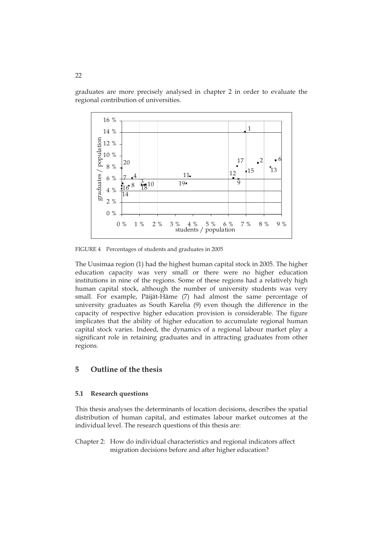graduates are more precisely analysed in chapter 2 in order to evaluate the regional contribution of universities.



FIGURE 4 Percentages of students and graduates in 2005

The Uusimaa region (1) had the highest human capital stock in 2005. The higher education capacity was very small or there were no higher education institutions in nine of the regions. Some of these regions had a relatively high human capital stock, although the number of university students was very small. For example, Päijät-Häme (7) had almost the same percentage of university graduates as South Karelia (9) even though the difference in the capacity of respective higher education provision is considerable. The figure implicates that the ability of higher education to accumulate regional human capital stock varies. Indeed, the dynamics of a regional labour market play a significant role in retaining graduates and in attracting graduates from other regions.

## **5 Outline of the thesis**

#### **5.1 Research questions**

This thesis analyses the determinants of location decisions, describes the spatial distribution of human capital, and estimates labour market outcomes at the individual level. The research questions of this thesis are:

Chapter 2: How do individual characteristics and regional indicators affect migration decisions before and after higher education?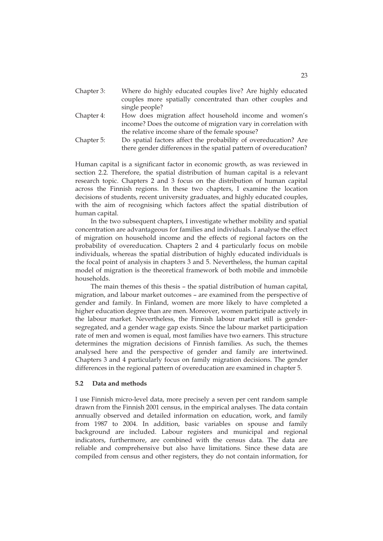| Chapter 3: | Where do highly educated couples live? Are highly educated |
|------------|------------------------------------------------------------|
|            | couples more spatially concentrated than other couples and |
|            | single people?                                             |

- Chapter 4: How does migration affect household income and women's income? Does the outcome of migration vary in correlation with the relative income share of the female spouse?
- Chapter 5: Do spatial factors affect the probability of overeducation? Are there gender differences in the spatial pattern of overeducation?

Human capital is a significant factor in economic growth, as was reviewed in section 2.2. Therefore, the spatial distribution of human capital is a relevant research topic. Chapters 2 and 3 focus on the distribution of human capital across the Finnish regions. In these two chapters, I examine the location decisions of students, recent university graduates, and highly educated couples, with the aim of recognising which factors affect the spatial distribution of human capital.

In the two subsequent chapters, I investigate whether mobility and spatial concentration are advantageous for families and individuals. I analyse the effect of migration on household income and the effects of regional factors on the probability of overeducation. Chapters 2 and 4 particularly focus on mobile individuals, whereas the spatial distribution of highly educated individuals is the focal point of analysis in chapters 3 and 5. Nevertheless, the human capital model of migration is the theoretical framework of both mobile and immobile households.

The main themes of this thesis – the spatial distribution of human capital, migration, and labour market outcomes – are examined from the perspective of gender and family. In Finland, women are more likely to have completed a higher education degree than are men. Moreover, women participate actively in the labour market. Nevertheless, the Finnish labour market still is gendersegregated, and a gender wage gap exists. Since the labour market participation rate of men and women is equal, most families have two earners. This structure determines the migration decisions of Finnish families. As such, the themes analysed here and the perspective of gender and family are intertwined. Chapters 3 and 4 particularly focus on family migration decisions. The gender differences in the regional pattern of overeducation are examined in chapter 5.

#### **5.2 Data and methods**

I use Finnish micro-level data, more precisely a seven per cent random sample drawn from the Finnish 2001 census, in the empirical analyses. The data contain annually observed and detailed information on education, work, and family from 1987 to 2004. In addition, basic variables on spouse and family background are included. Labour registers and municipal and regional indicators, furthermore, are combined with the census data. The data are reliable and comprehensive but also have limitations. Since these data are compiled from census and other registers, they do not contain information, for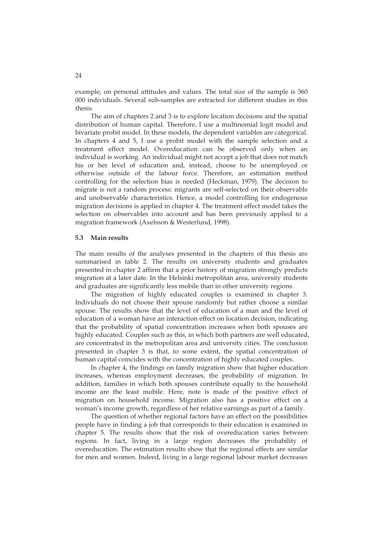example, on personal attitudes and values. The total size of the sample is 360 000 individuals. Several sub-samples are extracted for different studies in this thesis.

The aim of chapters 2 and 3 is to explore location decisions and the spatial distribution of human capital. Therefore, I use a multinomial logit model and bivariate probit model. In these models, the dependent variables are categorical. In chapters 4 and 5, I use a probit model with the sample selection and a treatment effect model. Overeducation can be observed only when an individual is working. An individual might not accept a job that does not match his or her level of education and, instead, choose to be unemployed or otherwise outside of the labour force. Therefore, an estimation method controlling for the selection bias is needed (Heckman, 1979). The decision to migrate is not a random process: migrants are self-selected on their observable and unobservable characteristics. Hence, a model controlling for endogenous migration decisions is applied in chapter 4. The treatment effect model takes the selection on observables into account and has been previously applied to a migration framework (Axelsson & Westerlund, 1998).

#### **5.3 Main results**

The main results of the analyses presented in the chapters of this thesis are summarised in table 2. The results on university students and graduates presented in chapter 2 affirm that a prior history of migration strongly predicts migration at a later date. In the Helsinki metropolitan area, university students and graduates are significantly less mobile than in other university regions.

The migration of highly educated couples is examined in chapter 3. Individuals do not choose their spouse randomly but rather choose a similar spouse. The results show that the level of education of a man and the level of education of a woman have an interaction effect on location decision, indicating that the probability of spatial concentration increases when both spouses are highly educated. Couples such as this, in which both partners are well educated, are concentrated in the metropolitan area and university cities. The conclusion presented in chapter 3 is that, to some extent, the spatial concentration of human capital coincides with the concentration of highly educated couples.

In chapter 4, the findings on family migration show that higher education increases, whereas employment decreases, the probability of migration. In addition, families in which both spouses contribute equally to the household income are the least mobile. Here, note is made of the positive effect of migration on household income. Migration also has a positive effect on a woman's income growth, regardless of her relative earnings as part of a family.

The question of whether regional factors have an effect on the possibilities people have in finding a job that corresponds to their education is examined in chapter 5. The results show that the risk of overeducation varies between regions. In fact, living in a large region decreases the probability of overeducation. The estimation results show that the regional effects are similar for men and women. Indeed, living in a large regional labour market decreases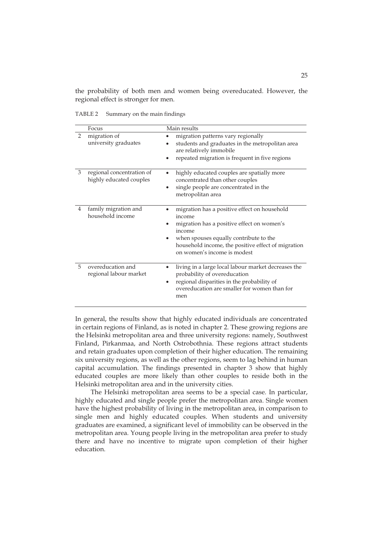the probability of both men and women being overeducated. However, the regional effect is stronger for men.

TABLE 2 Summary on the main findings

|                | Focus                                                | Main results                                                                                                                                                                                                                                       |
|----------------|------------------------------------------------------|----------------------------------------------------------------------------------------------------------------------------------------------------------------------------------------------------------------------------------------------------|
| $\overline{2}$ | migration of<br>university graduates                 | migration patterns vary regionally<br>students and graduates in the metropolitan area<br>are relatively immobile<br>repeated migration is frequent in five regions                                                                                 |
| 3              | regional concentration of<br>highly educated couples | highly educated couples are spatially more<br>concentrated than other couples<br>single people are concentrated in the<br>٠<br>metropolitan area                                                                                                   |
| $\overline{4}$ | family migration and<br>household income             | migration has a positive effect on household<br>income<br>migration has a positive effect on women's<br>income<br>when spouses equally contribute to the<br>٠<br>household income, the positive effect of migration<br>on women's income is modest |
| 5              | overeducation and<br>regional labour market          | living in a large local labour market decreases the<br>probability of overeducation<br>regional disparities in the probability of<br>٠<br>overeducation are smaller for women than for<br>men                                                      |

In general, the results show that highly educated individuals are concentrated in certain regions of Finland, as is noted in chapter 2. These growing regions are the Helsinki metropolitan area and three university regions: namely, Southwest Finland, Pirkanmaa, and North Ostrobothnia. These regions attract students and retain graduates upon completion of their higher education. The remaining six university regions, as well as the other regions, seem to lag behind in human capital accumulation. The findings presented in chapter 3 show that highly educated couples are more likely than other couples to reside both in the Helsinki metropolitan area and in the university cities.

The Helsinki metropolitan area seems to be a special case. In particular, highly educated and single people prefer the metropolitan area. Single women have the highest probability of living in the metropolitan area, in comparison to single men and highly educated couples. When students and university graduates are examined, a significant level of immobility can be observed in the metropolitan area. Young people living in the metropolitan area prefer to study there and have no incentive to migrate upon completion of their higher education.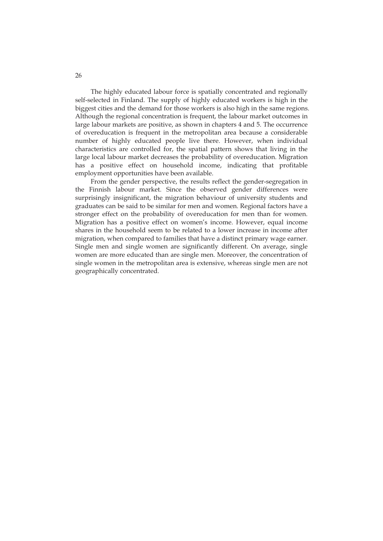The highly educated labour force is spatially concentrated and regionally self-selected in Finland. The supply of highly educated workers is high in the biggest cities and the demand for those workers is also high in the same regions. Although the regional concentration is frequent, the labour market outcomes in large labour markets are positive, as shown in chapters 4 and 5. The occurrence of overeducation is frequent in the metropolitan area because a considerable number of highly educated people live there. However, when individual characteristics are controlled for, the spatial pattern shows that living in the large local labour market decreases the probability of overeducation. Migration has a positive effect on household income, indicating that profitable employment opportunities have been available.

From the gender perspective, the results reflect the gender-segregation in the Finnish labour market. Since the observed gender differences were surprisingly insignificant, the migration behaviour of university students and graduates can be said to be similar for men and women. Regional factors have a stronger effect on the probability of overeducation for men than for women. Migration has a positive effect on women's income. However, equal income shares in the household seem to be related to a lower increase in income after migration, when compared to families that have a distinct primary wage earner. Single men and single women are significantly different. On average, single women are more educated than are single men. Moreover, the concentration of single women in the metropolitan area is extensive, whereas single men are not geographically concentrated.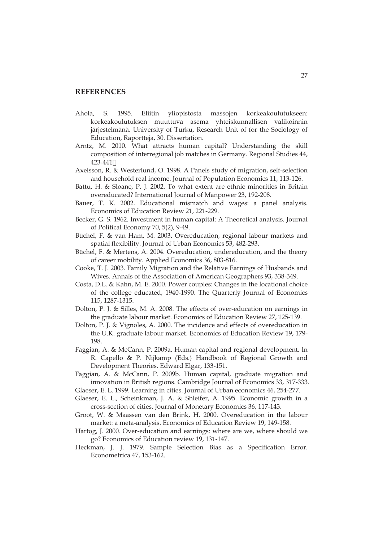## **REFERENCES**

- Ahola, S. 1995. Eliitin yliopistosta massojen korkeakoulutukseen: korkeakoulutuksen muuttuva asema yhteiskunnallisen valikoinnin järjestelmänä. University of Turku, Research Unit of for the Sociology of Education, Raportteja, 30. Dissertation.
- Arntz, M. 2010. What attracts human capital? Understanding the skill composition of interregional job matches in Germany. Regional Studies 44, 423-441
- Axelsson, R. & Westerlund, O. 1998. A Panels study of migration, self-selection and household real income. Journal of Population Economics 11, 113-126.
- Battu, H. & Sloane, P. J. 2002. To what extent are ethnic minorities in Britain overeducated? International Journal of Manpower 23, 192-208.
- Bauer, T. K. 2002. Educational mismatch and wages: a panel analysis. Economics of Education Review 21, 221-229.
- Becker, G. S. 1962. Investment in human capital: A Theoretical analysis. Journal of Political Economy 70, 5(2), 9-49.
- Büchel, F. & van Ham, M. 2003. Overeducation, regional labour markets and spatial flexibility. Journal of Urban Economics 53, 482-293.
- Büchel, F. & Mertens, A. 2004. Overeducation, undereducation, and the theory of career mobility. Applied Economics 36, 803-816.
- Cooke, T. J. 2003. Family Migration and the Relative Earnings of Husbands and Wives. Annals of the Association of American Geographers 93, 338-349.
- Costa, D.L. & Kahn, M. E. 2000. Power couples: Changes in the locational choice of the college educated, 1940-1990. The Quarterly Journal of Economics 115, 1287-1315.
- Dolton, P. J. & Silles, M. A. 2008. The effects of over-education on earnings in the graduate labour market. Economics of Education Review 27, 125-139.
- Dolton, P. J. & Vignoles, A. 2000. The incidence and effects of overeducation in the U.K. graduate labour market. Economics of Education Review 19, 179- 198.
- Faggian, A. & McCann, P. 2009a. Human capital and regional development. In R. Capello & P. Nijkamp (Eds.) Handbook of Regional Growth and Development Theories. Edward Elgar, 133-151.
- Faggian, A. & McCann, P. 2009b. Human capital, graduate migration and innovation in British regions. Cambridge Journal of Economics 33, 317-333.
- Glaeser, E. L. 1999. Learning in cities. Journal of Urban economics 46, 254-277.
- Glaeser, E. L., Scheinkman, J. A. & Shleifer, A. 1995. Economic growth in a cross-section of cities. Journal of Monetary Economics 36, 117-143.
- Groot, W. & Maassen van den Brink, H. 2000. Overeducation in the labour market: a meta-analysis. Economics of Education Review 19, 149-158.
- Hartog, J. 2000. Over-education and earnings: where are we, where should we go? Economics of Education review 19, 131-147.
- Heckman, J. J. 1979. Sample Selection Bias as a Specification Error. Econometrica 47, 153-162.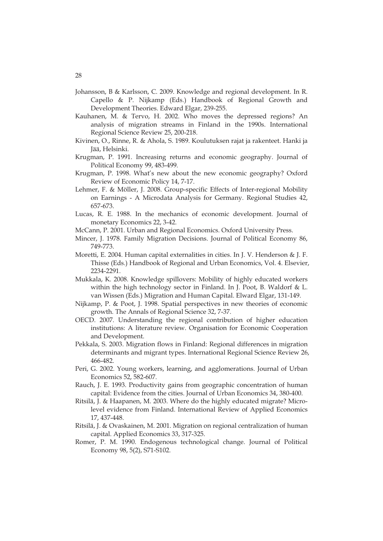- Johansson, B & Karlsson, C. 2009. Knowledge and regional development. In R. Capello & P. Nijkamp (Eds.) Handbook of Regional Growth and Development Theories. Edward Elgar, 239-255.
- Kauhanen, M. & Tervo, H. 2002. Who moves the depressed regions? An analysis of migration streams in Finland in the 1990s. International Regional Science Review 25, 200-218.
- Kivinen, O., Rinne, R. & Ahola, S. 1989. Koulutuksen rajat ja rakenteet. Hanki ja Jää, Helsinki.
- Krugman, P. 1991. Increasing returns and economic geography. Journal of Political Economy 99, 483-499.
- Krugman, P. 1998. What's new about the new economic geography? Oxford Review of Economic Policy 14, 7-17.
- Lehmer, F. & Möller, J. 2008. Group-specific Effects of Inter-regional Mobility on Earnings - A Microdata Analysis for Germany. Regional Studies 42, 657-673.
- Lucas, R. E. 1988. In the mechanics of economic development. Journal of monetary Economics 22, 3-42.
- McCann, P. 2001. Urban and Regional Economics. Oxford University Press.
- Mincer, J. 1978. Family Migration Decisions. Journal of Political Economy 86, 749-773.
- Moretti, E. 2004. Human capital externalities in cities. In J. V. Henderson & J. F. Thisse (Eds.) Handbook of Regional and Urban Economics, Vol. 4. Elsevier, 2234-2291.
- Mukkala, K. 2008. Knowledge spillovers: Mobility of highly educated workers within the high technology sector in Finland. In J. Poot, B. Waldorf & L. van Wissen (Eds.) Migration and Human Capital. Elward Elgar, 131-149.
- Nijkamp, P. & Poot, J. 1998. Spatial perspectives in new theories of economic growth. The Annals of Regional Science 32, 7-37.
- OECD. 2007. Understanding the regional contribution of higher education institutions: A literature review. Organisation for Economic Cooperation and Development.
- Pekkala, S. 2003. Migration flows in Finland: Regional differences in migration determinants and migrant types. International Regional Science Review 26, 466-482.
- Peri, G. 2002. Young workers, learning, and agglomerations. Journal of Urban Economics 52, 582-607.
- Rauch, J. E. 1993. Productivity gains from geographic concentration of human capital: Evidence from the cities. Journal of Urban Economics 34, 380-400.
- Ritsilä, J. & Haapanen, M. 2003. Where do the highly educated migrate? Microlevel evidence from Finland. International Review of Applied Economics 17, 437-448.
- Ritsilä, J. & Ovaskainen, M. 2001. Migration on regional centralization of human capital. Applied Economics 33, 317-325.
- Romer, P. M. 1990. Endogenous technological change. Journal of Political Economy 98, 5(2), S71-S102.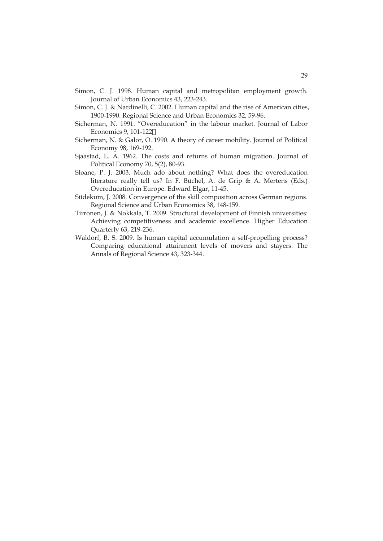- Simon, C. J. 1998. Human capital and metropolitan employment growth. Journal of Urban Economics 43, 223-243.
- Simon, C. J. & Nardinelli, C. 2002. Human capital and the rise of American cities, 1900-1990. Regional Science and Urban Economics 32, 59-96.
- Sicherman, N. 1991. "Overeducation" in the labour market. Journal of Labor Economics 9, 101-122
- Sicherman, N. & Galor, O. 1990. A theory of career mobility. Journal of Political Economy 98, 169-192.
- Sjaastad, L. A. 1962. The costs and returns of human migration. Journal of Political Economy 70, 5(2), 80-93.
- Sloane, P. J. 2003. Much ado about nothing? What does the overeducation literature really tell us? In F. Büchel, A. de Grip & A. Mertens (Eds.) Overeducation in Europe. Edward Elgar, 11-45.
- Südekum, J. 2008. Convergence of the skill composition across German regions. Regional Science and Urban Economics 38, 148-159.
- Tirronen, J. & Nokkala, T. 2009. Structural development of Finnish universities: Achieving competitiveness and academic excellence. Higher Education Quarterly 63, 219-236.
- Waldorf, B. S. 2009. Is human capital accumulation a self-propelling process? Comparing educational attainment levels of movers and stayers. The Annals of Regional Science 43, 323-344.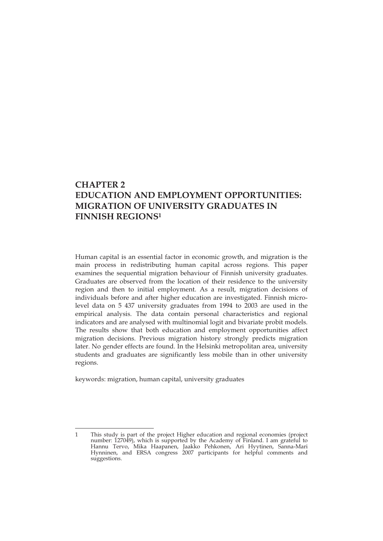## **CHAPTER 2 EDUCATION AND EMPLOYMENT OPPORTUNITIES: MIGRATION OF UNIVERSITY GRADUATES IN FINNISH REGIONS1**

Human capital is an essential factor in economic growth, and migration is the main process in redistributing human capital across regions. This paper examines the sequential migration behaviour of Finnish university graduates. Graduates are observed from the location of their residence to the university region and then to initial employment. As a result, migration decisions of individuals before and after higher education are investigated. Finnish microlevel data on 5 437 university graduates from 1994 to 2003 are used in the empirical analysis. The data contain personal characteristics and regional indicators and are analysed with multinomial logit and bivariate probit models. The results show that both education and employment opportunities affect migration decisions. Previous migration history strongly predicts migration later. No gender effects are found. In the Helsinki metropolitan area, university students and graduates are significantly less mobile than in other university regions.

keywords: migration, human capital, university graduates

-

<sup>1</sup> This study is part of the project Higher education and regional economies (project number: 127049), which is supported by the Academy of Finland. I am grateful to Hannu Tervo, Mika Haapanen, Jaakko Pehkonen, Ari Hyytinen, Sanna-Mari Hynninen, and ERSA congress 2007 participants for helpful comments and suggestions.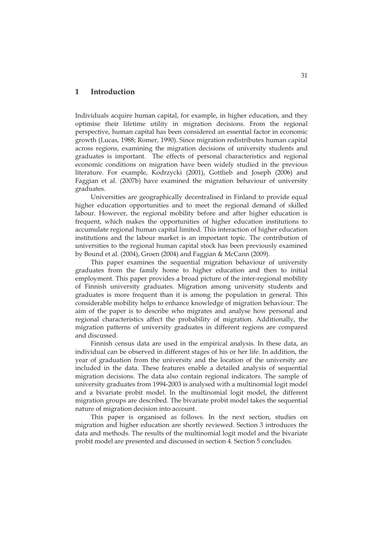### **1 Introduction**

Individuals acquire human capital, for example, in higher education, and they optimise their lifetime utility in migration decisions. From the regional perspective, human capital has been considered an essential factor in economic growth (Lucas, 1988; Romer, 1990). Since migration redistributes human capital across regions, examining the migration decisions of university students and graduates is important. The effects of personal characteristics and regional economic conditions on migration have been widely studied in the previous literature. For example, Kodrzycki (2001), Gottlieb and Joseph (2006) and Faggian et al. (2007b) have examined the migration behaviour of university graduates.

Universities are geographically decentralised in Finland to provide equal higher education opportunities and to meet the regional demand of skilled labour. However, the regional mobility before and after higher education is frequent, which makes the opportunities of higher education institutions to accumulate regional human capital limited. This interaction of higher education institutions and the labour market is an important topic. The contribution of universities to the regional human capital stock has been previously examined by Bound et al. (2004), Groen (2004) and Faggian & McCann (2009).

This paper examines the sequential migration behaviour of university graduates from the family home to higher education and then to initial employment. This paper provides a broad picture of the inter-regional mobility of Finnish university graduates. Migration among university students and graduates is more frequent than it is among the population in general. This considerable mobility helps to enhance knowledge of migration behaviour. The aim of the paper is to describe who migrates and analyse how personal and regional characteristics affect the probability of migration. Additionally, the migration patterns of university graduates in different regions are compared and discussed.

Finnish census data are used in the empirical analysis. In these data, an individual can be observed in different stages of his or her life. In addition, the year of graduation from the university and the location of the university are included in the data. These features enable a detailed analysis of sequential migration decisions. The data also contain regional indicators. The sample of university graduates from 1994-2003 is analysed with a multinomial logit model and a bivariate probit model. In the multinomial logit model, the different migration groups are described. The bivariate probit model takes the sequential nature of migration decision into account.

This paper is organised as follows. In the next section, studies on migration and higher education are shortly reviewed. Section 3 introduces the data and methods. The results of the multinomial logit model and the bivariate probit model are presented and discussed in section 4. Section 5 concludes.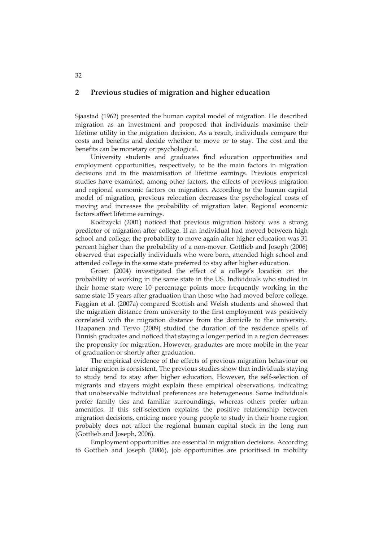## **2 Previous studies of migration and higher education**

Sjaastad (1962) presented the human capital model of migration. He described migration as an investment and proposed that individuals maximise their lifetime utility in the migration decision. As a result, individuals compare the costs and benefits and decide whether to move or to stay. The cost and the benefits can be monetary or psychological.

University students and graduates find education opportunities and employment opportunities, respectively, to be the main factors in migration decisions and in the maximisation of lifetime earnings. Previous empirical studies have examined, among other factors, the effects of previous migration and regional economic factors on migration. According to the human capital model of migration, previous relocation decreases the psychological costs of moving and increases the probability of migration later. Regional economic factors affect lifetime earnings.

Kodrzycki (2001) noticed that previous migration history was a strong predictor of migration after college. If an individual had moved between high school and college, the probability to move again after higher education was 31 percent higher than the probability of a non-mover. Gottlieb and Joseph (2006) observed that especially individuals who were born, attended high school and attended college in the same state preferred to stay after higher education.

Groen (2004) investigated the effect of a college's location on the probability of working in the same state in the US. Individuals who studied in their home state were 10 percentage points more frequently working in the same state 15 years after graduation than those who had moved before college. Faggian et al. (2007a) compared Scottish and Welsh students and showed that the migration distance from university to the first employment was positively correlated with the migration distance from the domicile to the university. Haapanen and Tervo (2009) studied the duration of the residence spells of Finnish graduates and noticed that staying a longer period in a region decreases the propensity for migration. However, graduates are more mobile in the year of graduation or shortly after graduation.

The empirical evidence of the effects of previous migration behaviour on later migration is consistent. The previous studies show that individuals staying to study tend to stay after higher education. However, the self-selection of migrants and stayers might explain these empirical observations, indicating that unobservable individual preferences are heterogeneous. Some individuals prefer family ties and familiar surroundings, whereas others prefer urban amenities. If this self-selection explains the positive relationship between migration decisions, enticing more young people to study in their home region probably does not affect the regional human capital stock in the long run (Gottlieb and Joseph, 2006).

Employment opportunities are essential in migration decisions. According to Gottlieb and Joseph (2006), job opportunities are prioritised in mobility

32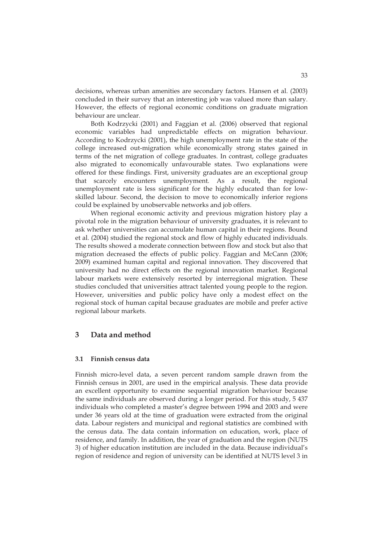decisions, whereas urban amenities are secondary factors. Hansen et al. (2003) concluded in their survey that an interesting job was valued more than salary. However, the effects of regional economic conditions on graduate migration behaviour are unclear.

Both Kodrzycki (2001) and Faggian et al. (2006) observed that regional economic variables had unpredictable effects on migration behaviour. According to Kodrzycki (2001), the high unemployment rate in the state of the college increased out-migration while economically strong states gained in terms of the net migration of college graduates. In contrast, college graduates also migrated to economically unfavourable states. Two explanations were offered for these findings. First, university graduates are an exceptional group that scarcely encounters unemployment. As a result, the regional unemployment rate is less significant for the highly educated than for lowskilled labour. Second, the decision to move to economically inferior regions could be explained by unobservable networks and job offers.

When regional economic activity and previous migration history play a pivotal role in the migration behaviour of university graduates, it is relevant to ask whether universities can accumulate human capital in their regions. Bound et al. (2004) studied the regional stock and flow of highly educated individuals. The results showed a moderate connection between flow and stock but also that migration decreased the effects of public policy. Faggian and McCann (2006; 2009) examined human capital and regional innovation. They discovered that university had no direct effects on the regional innovation market. Regional labour markets were extensively resorted by interregional migration. These studies concluded that universities attract talented young people to the region. However, universities and public policy have only a modest effect on the regional stock of human capital because graduates are mobile and prefer active regional labour markets.

## **3 Data and method**

#### **3.1 Finnish census data**

Finnish micro-level data, a seven percent random sample drawn from the Finnish census in 2001, are used in the empirical analysis. These data provide an excellent opportunity to examine sequential migration behaviour because the same individuals are observed during a longer period. For this study, 5 437 individuals who completed a master's degree between 1994 and 2003 and were under 36 years old at the time of graduation were extracted from the original data. Labour registers and municipal and regional statistics are combined with the census data. The data contain information on education, work, place of residence, and family. In addition, the year of graduation and the region (NUTS 3) of higher education institution are included in the data. Because individual's region of residence and region of university can be identified at NUTS level 3 in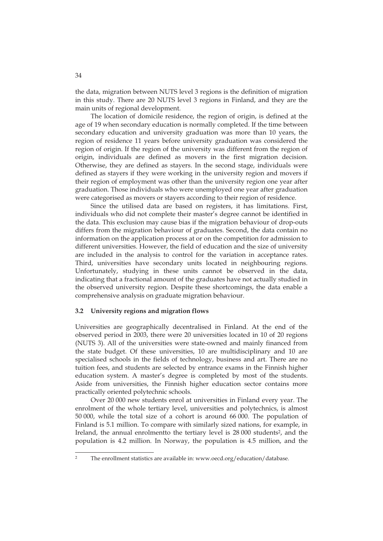the data, migration between NUTS level 3 regions is the definition of migration in this study. There are 20 NUTS level 3 regions in Finland, and they are the main units of regional development.

The location of domicile residence, the region of origin, is defined at the age of 19 when secondary education is normally completed. If the time between secondary education and university graduation was more than 10 years, the region of residence 11 years before university graduation was considered the region of origin. If the region of the university was different from the region of origin, individuals are defined as movers in the first migration decision. Otherwise, they are defined as stayers. In the second stage, individuals were defined as stayers if they were working in the university region and movers if their region of employment was other than the university region one year after graduation. Those individuals who were unemployed one year after graduation were categorised as movers or stayers according to their region of residence.

Since the utilised data are based on registers, it has limitations. First, individuals who did not complete their master's degree cannot be identified in the data. This exclusion may cause bias if the migration behaviour of drop-outs differs from the migration behaviour of graduates. Second, the data contain no information on the application process at or on the competition for admission to different universities. However, the field of education and the size of university are included in the analysis to control for the variation in acceptance rates. Third, universities have secondary units located in neighbouring regions. Unfortunately, studying in these units cannot be observed in the data, indicating that a fractional amount of the graduates have not actually studied in the observed university region. Despite these shortcomings, the data enable a comprehensive analysis on graduate migration behaviour.

#### **3.2 University regions and migration flows**

Universities are geographically decentralised in Finland. At the end of the observed period in 2003, there were 20 universities located in 10 of 20 regions (NUTS 3). All of the universities were state-owned and mainly financed from the state budget. Of these universities, 10 are multidisciplinary and 10 are specialised schools in the fields of technology, business and art. There are no tuition fees, and students are selected by entrance exams in the Finnish higher education system. A master's degree is completed by most of the students. Aside from universities, the Finnish higher education sector contains more practically oriented polytechnic schools.

Over 20 000 new students enrol at universities in Finland every year. The enrolment of the whole tertiary level, universities and polytechnics, is almost 50 000, while the total size of a cohort is around 66 000. The population of Finland is 5.1 million. To compare with similarly sized nations, for example, in Ireland, the annual enrolmentto the tertiary level is 28 000 students<sup>2</sup>, and the population is 4.2 million. In Norway, the population is 4.5 million, and the

-

<sup>2</sup> The enrollment statistics are available in: www.oecd.org/education/database.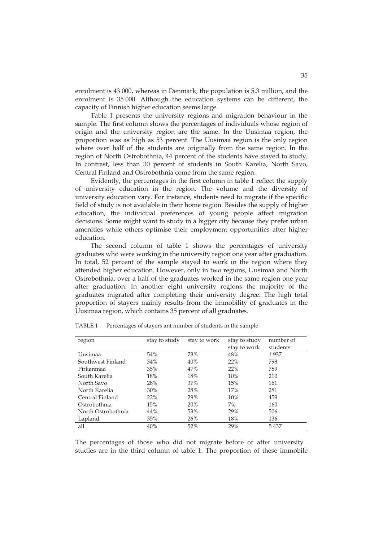enrolment is 43 000, whereas in Denmark, the population is 5.3 million, and the enrolment is 35 000. Although the education systems can be different, the capacity of Finnish higher education seems large.

Table 1 presents the university regions and migration behaviour in the sample. The first column shows the percentages of individuals whose region of origin and the university region are the same. In the Uusimaa region, the proportion was as high as 53 percent. The Uusimaa region is the only region where over half of the students are originally from the same region. In the region of North Ostrobothnia, 44 percent of the students have stayed to study. In contrast, less than 30 percent of students in South Karelia, North Savo, Central Finland and Ostrobothnia come from the same region.

Evidently, the percentages in the first column in table 1 reflect the supply of university education in the region. The volume and the diversity of university education vary. For instance, students need to migrate if the specific field of study is not available in their home region. Besides the supply of higher education, the individual preferences of young people affect migration decisions. Some might want to study in a bigger city because they prefer urban amenities while others optimise their employment opportunities after higher education.

The second column of table 1 shows the percentages of university graduates who were working in the university region one year after graduation. In total, 52 percent of the sample stayed to work in the region where they attended higher education. However, only in two regions, Uusimaa and North Ostrobothnia, over a half of the graduates worked in the same region one year after graduation. In another eight university regions the majority of the graduates migrated after completing their university degree. The high total proportion of stayers mainly results from the immobility of graduates in the Uusimaa region, which contains 35 percent of all graduates.

| region             | stay to study | stay to work | stay to study | number of |
|--------------------|---------------|--------------|---------------|-----------|
|                    |               |              | stay to work  | students  |
| Uusimaa            | 54%           | 78%          | 48%           | 1937      |
| Southwest Finland  | 34%           | 40%          | 22%           | 798       |
| Pirkanmaa          | 35%           | 47%          | 22%           | 789       |
| South Karelia      | 18%           | 18%          | 10%           | 210       |
| North Savo         | 28%           | 37%          | 15%           | 161       |
| North Karelia      | $30\%$        | 28%          | 17%           | 281       |
| Central Finland    | 22%           | 29%          | 10%           | 459       |
| Ostrobothnia       | 15%           | 20%          | 7%            | 160       |
| North Ostrobothnia | 44%           | 53%          | 29%           | 506       |
| Lapland            | $35\%$        | 26%          | 18%           | 136       |
| all                | 40%           | 52%          | 29%           | 5437      |

TABLE 1 Percentages of stayers ant number of students in the sample

The percentages of those who did not migrate before or after university studies are in the third column of table 1. The proportion of these immobile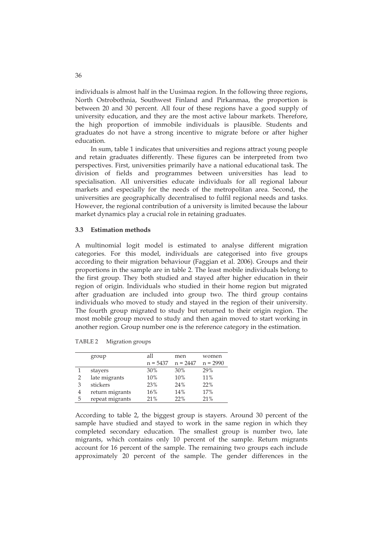individuals is almost half in the Uusimaa region. In the following three regions, North Ostrobothnia, Southwest Finland and Pirkanmaa, the proportion is between 20 and 30 percent. All four of these regions have a good supply of university education, and they are the most active labour markets. Therefore, the high proportion of immobile individuals is plausible. Students and graduates do not have a strong incentive to migrate before or after higher education.

In sum, table 1 indicates that universities and regions attract young people and retain graduates differently. These figures can be interpreted from two perspectives. First, universities primarily have a national educational task. The division of fields and programmes between universities has lead to specialisation. All universities educate individuals for all regional labour markets and especially for the needs of the metropolitan area. Second, the universities are geographically decentralised to fulfil regional needs and tasks. However, the regional contribution of a university is limited because the labour market dynamics play a crucial role in retaining graduates.

#### **3.3 Estimation methods**

A multinomial logit model is estimated to analyse different migration categories. For this model, individuals are categorised into five groups according to their migration behaviour (Faggian et al. 2006). Groups and their proportions in the sample are in table 2. The least mobile individuals belong to the first group. They both studied and stayed after higher education in their region of origin. Individuals who studied in their home region but migrated after graduation are included into group two. The third group contains individuals who moved to study and stayed in the region of their university. The fourth group migrated to study but returned to their origin region. The most mobile group moved to study and then again moved to start working in another region. Group number one is the reference category in the estimation.

| TABLE <sub>2</sub> | Migration groups |  |
|--------------------|------------------|--|
|--------------------|------------------|--|

|                | group           | all        | men        | women      |
|----------------|-----------------|------------|------------|------------|
|                |                 | $n = 5437$ | $n = 2447$ | $n = 2990$ |
|                | stayers         | 30%        | 30%        | 29%        |
| $\overline{2}$ | late migrants   | 10%        | 10%        | $11\%$     |
| 3              | stickers        | 23%        | 24%        | 22%        |
| 4              | return migrants | 16%        | 14%        | 17%        |
| 5              | repeat migrants | 21%        | 22%        | 21%        |

According to table 2, the biggest group is stayers. Around 30 percent of the sample have studied and stayed to work in the same region in which they completed secondary education. The smallest group is number two, late migrants, which contains only 10 percent of the sample. Return migrants account for 16 percent of the sample. The remaining two groups each include approximately 20 percent of the sample. The gender differences in the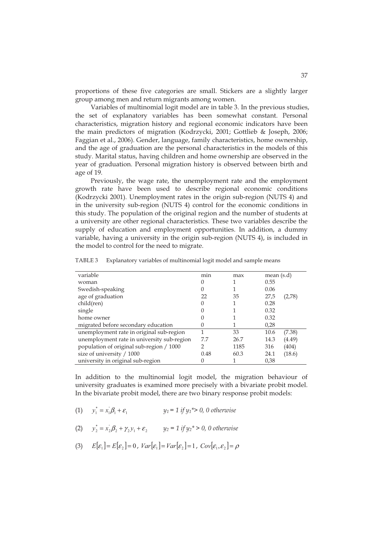proportions of these five categories are small. Stickers are a slightly larger group among men and return migrants among women.

Variables of multinomial logit model are in table 3. In the previous studies, the set of explanatory variables has been somewhat constant. Personal characteristics, migration history and regional economic indicators have been the main predictors of migration (Kodrzycki, 2001; Gottlieb & Joseph, 2006; Faggian et al., 2006). Gender, language, family characteristics, home ownership, and the age of graduation are the personal characteristics in the models of this study. Marital status, having children and home ownership are observed in the year of graduation. Personal migration history is observed between birth and age of 19.

Previously, the wage rate, the unemployment rate and the employment growth rate have been used to describe regional economic conditions (Kodrzycki 2001). Unemployment rates in the origin sub-region (NUTS 4) and in the university sub-region (NUTS 4) control for the economic conditions in this study. The population of the original region and the number of students at a university are other regional characteristics. These two variables describe the supply of education and employment opportunities. In addition, a dummy variable, having a university in the origin sub-region (NUTS 4), is included in the model to control for the need to migrate.

| variable                                   | min  | max  | mean $(s.d)$   |
|--------------------------------------------|------|------|----------------|
| woman                                      |      |      | 0.55           |
| Swedish-speaking                           |      |      | 0.06           |
| age of graduation                          | 22   | 35   | 27.5<br>(2,78) |
| child(ren)                                 |      |      | 0.28           |
| single                                     |      |      | 0.32           |
| home owner                                 |      |      | 0.32           |
| migrated before secondary education        |      |      | 0.28           |
| unemployment rate in original sub-region   |      | 33   | 10.6<br>(7.38) |
| unemployment rate in university sub-region | 7.7  | 26.7 | (4.49)<br>14.3 |
| population of original sub-region / 1000   |      | 1185 | (404)<br>316   |
| size of university / 1000                  | 0.48 | 60.3 | (18.6)<br>24.1 |
| university in original sub-region          |      |      | 0,38           |

TABLE 3 Explanatory variables of multinomial logit model and sample means

In addition to the multinomial logit model, the migration behaviour of university graduates is examined more precisely with a bivariate probit model. In the bivariate probit model, there are two binary response probit models:

- (1)  $y_1^* = x_1 \beta_1 + \varepsilon_1$  $y_1 = 1$  *if*  $y_1 \ge 0$ , 0 otherwise
- (2)  $y_2^* = x_2' \beta_2 + \gamma_2 y_1 + \varepsilon_2$   $y_2 = 1$  if  $y_2^* > 0$ , 0 otherwise
- (3)  $E[\varepsilon_1] = E[\varepsilon_2] = 0$ ,  $Var[\varepsilon_1] = Var[\varepsilon_2] = 1$ ,  $Cov[\varepsilon_1, \varepsilon_2] = \rho$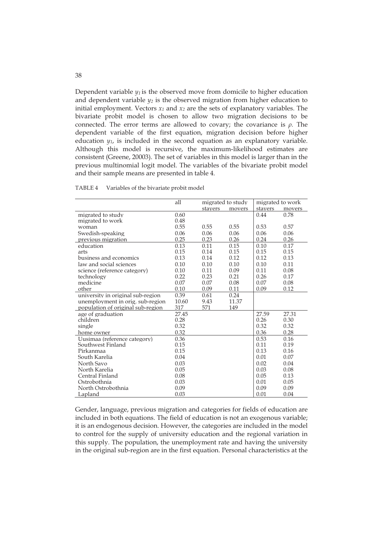Dependent variable  $y_1$  is the observed move from domicile to higher education and dependent variable  $y_2$  is the observed migration from higher education to initial employment. Vectors  $x_1$  and  $x_2$  are the sets of explanatory variables. The bivariate probit model is chosen to allow two migration decisions to be connected. The error terms are allowed to covary; the covariance is  $\rho$ . The dependent variable of the first equation, migration decision before higher education *y1*, is included in the second equation as an explanatory variable. Although this model is recursive, the maximum-likelihood estimates are consistent (Greene, 20003). The set of variables in this model is larger than in the previous multinomial logit model. The variables of the bivariate probit model and their sample means are presented in table 4.

|                                   | all   | migrated to study |        | migrated to work |        |
|-----------------------------------|-------|-------------------|--------|------------------|--------|
|                                   |       | stayers           | movers | stavers          | movers |
| migrated to study                 | 0.60  |                   |        | 0.44             | 0.78   |
| migrated to work                  | 0.48  |                   |        |                  |        |
| woman                             | 0.55  | 0.55              | 0.55   | 0.53             | 0.57   |
| Swedish-speaking                  | 0.06  | 0.06              | 0.06   | 0.06             | 0.06   |
| previous migration                | 0.25  | 0.23              | 0.26   | 0.24             | 0.26   |
| education                         | 0.13  | 0.11              | 0.15   | 0.10             | 0.17   |
| arts                              | 0.15  | 0.14              | 0.15   | 0.15             | 0.15   |
| business and economics            | 0.13  | 0.14              | 0.12   | 0.12             | 0.13   |
| law and social sciences           | 0.10  | 0.10              | 0.10   | 0.10             | 0.11   |
| science (reference category)      | 0.10  | 0.11              | 0.09   | 0.11             | 0.08   |
| technology                        | 0.22  | 0.23              | 0.21   | 0.26             | 0.17   |
| medicine                          | 0.07  | 0.07              | 0.08   | 0.07             | 0.08   |
| other                             | 0.10  | 0.09              | 0.11   | 0.09             | 0.12   |
| university in original sub-region | 0.39  | 0.61              | 0.24   |                  |        |
| unemployment in orig. sub-region  | 10.60 | 9.43              | 11.37  |                  |        |
| population of original sub-region | 317   | 571               | 149    |                  |        |
| age of graduation                 | 27.45 |                   |        | 27.59            | 27.31  |
| children                          | 0.28  |                   |        | 0.26             | 0.30   |
| single                            | 0.32  |                   |        | 0.32             | 0.32   |
| home owner                        | 0.32  |                   |        | 0.36             | 0.28   |
| Uusimaa (reference category)      | 0.36  |                   |        | 0.53             | 0.16   |
| Southwest Finland                 | 0.15  |                   |        | 0.11             | 0.19   |
| Pirkanmaa                         | 0.15  |                   |        | 0.13             | 0.16   |
| South Karelia                     | 0.04  |                   |        | 0.01             | 0.07   |
| North Savo                        | 0.03  |                   |        | 0.02             | 0.04   |
| North Karelia                     | 0.05  |                   |        | 0.03             | 0.08   |
| Central Finland                   | 0.08  |                   |        | 0.05             | 0.13   |
| Ostrobothnia                      | 0.03  |                   |        | 0.01             | 0.05   |
| North Ostrobothnia                | 0.09  |                   |        | 0.09             | 0.09   |
| Lapland                           | 0.03  |                   |        | 0.01             | 0.04   |

TABLE 4 Variables of the bivariate probit model

Gender, language, previous migration and categories for fields of education are included in both equations. The field of education is not an exogenous variable; it is an endogenous decision. However, the categories are included in the model to control for the supply of university education and the regional variation in this supply. The population, the unemployment rate and having the university in the original sub-region are in the first equation. Personal characteristics at the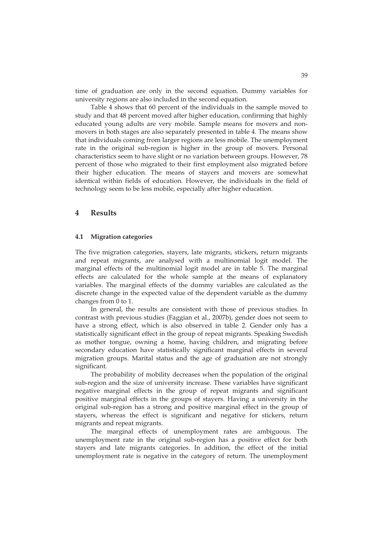time of graduation are only in the second equation. Dummy variables for university regions are also included in the second equation.

Table 4 shows that 60 percent of the individuals in the sample moved to study and that 48 percent moved after higher education, confirming that highly educated young adults are very mobile. Sample means for movers and nonmovers in both stages are also separately presented in table 4. The means show that individuals coming from larger regions are less mobile. The unemployment rate in the original sub-region is higher in the group of movers. Personal characteristics seem to have slight or no variation between groups. However, 78 percent of those who migrated to their first employment also migrated before their higher education. The means of stayers and movers are somewhat identical within fields of education. However, the individuals in the field of technology seem to be less mobile, especially after higher education.

### **4 Results**

#### **4.1 Migration categories**

The five migration categories, stayers, late migrants, stickers, return migrants and repeat migrants, are analysed with a multinomial logit model. The marginal effects of the multinomial logit model are in table 5. The marginal effects are calculated for the whole sample at the means of explanatory variables. The marginal effects of the dummy variables are calculated as the discrete change in the expected value of the dependent variable as the dummy changes from 0 to 1.

In general, the results are consistent with those of previous studies. In contrast with previous studies (Faggian et al., 2007b), gender does not seem to have a strong effect, which is also observed in table 2. Gender only has a statistically significant effect in the group of repeat migrants. Speaking Swedish as mother tongue, owning a home, having children, and migrating before secondary education have statistically significant marginal effects in several migration groups. Marital status and the age of graduation are not strongly significant.

The probability of mobility decreases when the population of the original sub-region and the size of university increase. These variables have significant negative marginal effects in the group of repeat migrants and significant positive marginal effects in the groups of stayers. Having a university in the original sub-region has a strong and positive marginal effect in the group of stayers, whereas the effect is significant and negative for stickers, return migrants and repeat migrants.

The marginal effects of unemployment rates are ambiguous. The unemployment rate in the original sub-region has a positive effect for both stayers and late migrants categories. In addition, the effect of the initial unemployment rate is negative in the category of return. The unemployment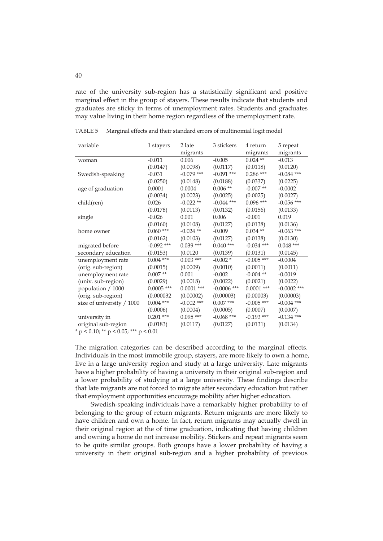rate of the university sub-region has a statistically significant and positive marginal effect in the group of stayers. These results indicate that students and graduates are sticky in terms of unemployment rates. Students and graduates may value living in their home region regardless of the unemployment rate.

| variable                  | 1 stayers    | 2 late       | 3 stickers    | 4 return     | 5 repeat      |
|---------------------------|--------------|--------------|---------------|--------------|---------------|
|                           |              | migrants     |               | migrants     | migrants      |
| woman                     | $-0.011$     | 0.006        | $-0.005$      | $0.024$ **   | $-0.013$      |
|                           | (0.0147)     | (0.0098)     | (0.0117)      | (0.0118)     | (0.0120)      |
| Swedish-speaking          | $-0.031$     | $-0.079$ *** | $-0.091$ ***  | $0.286$ ***  | $-0.084$ ***  |
|                           | (0.0250)     | (0.0148)     | (0.0188)      | (0.0337)     | (0.0225)      |
| age of graduation         | 0.0001       | 0.0004       | $0.006$ **    | $-0.007**$   | $-0.0002$     |
|                           | (0.0034)     | (0.0023)     | (0.0025)      | (0.0025)     | (0.0027)      |
| child(ren)                | 0.026        | $-0.022**$   | $-0.044$ ***  | $0.096$ ***  | $-0.056$ ***  |
|                           | (0.0178)     | (0.0113)     | (0.0132)      | (0.0156)     | (0.0133)      |
| single                    | $-0.026$     | 0.001        | 0.006         | $-0.001$     | 0.019         |
|                           | (0.0160)     | (0.0108)     | (0.0127)      | (0.0138)     | (0.0136)      |
| home owner                | $0.060$ ***  | $-0.024$ **  | $-0.009$      | $0.034$ **   | $-0.063$ ***  |
|                           | (0.0162)     | (0.0103)     | (0.0127)      | (0.0138)     | (0.0130)      |
| migrated before           | $-0.092$ *** | $0.039***$   | $0.040$ ***   | $-0.034$ *** | $0.048$ ***   |
| secondary education       | (0.0153)     | (0.0120)     | (0.0139)      | (0.0131)     | (0.0145)      |
| unemployment rate         | $0.004$ ***  | $0.003$ ***  | $-0.002*$     | $-0.005$ *** | $-0.0004$     |
| (orig. sub-region)        | (0.0015)     | (0.0009)     | (0.0010)      | (0.0011)     | (0.0011)      |
| unemployment rate         | $0.007**$    | 0.001        | $-0.002$      | $-0.004$ **  | $-0.0019$     |
| (univ. sub-region)        | (0.0029)     | (0.0018)     | (0.0022)      | (0.0021)     | (0.0022)      |
| population / 1000         | $0.0005$ *** | $0.0001$ *** | $-0.0006$ *** | $0.0001$ *** | $-0.0002$ *** |
| (orig. sub-region)        | (0.000032)   | (0.00002)    | (0.00003)     | (0.00003)    | (0.00003)     |
| size of university / 1000 | $0.004$ ***  | $-0.002$ *** | $0.007$ ***   | $-0.005$ *** | $-0.004$ ***  |
|                           | (0.0006)     | (0.0004)     | (0.0005)      | (0.0007)     | (0.0007)      |
| university in             | $0.201$ ***  | $0.095***$   | $-0.068$ ***  | $-0.193$ *** | $-0.134$ ***  |
| original sub-region       | (0.0183)     | (0.0117)     | (0.0127)      | (0.0131)     | (0.0134)      |

TABLE 5 Marginal effects and their standard errors of multinomial logit model

 $\frac{x}{p}$  < 0.10; \*\* p < 0.05; \*\*\* p < 0.01

The migration categories can be described according to the marginal effects. Individuals in the most immobile group, stayers, are more likely to own a home, live in a large university region and study at a large university. Late migrants have a higher probability of having a university in their original sub-region and a lower probability of studying at a large university. These findings describe that late migrants are not forced to migrate after secondary education but rather that employment opportunities encourage mobility after higher education.

Swedish-speaking individuals have a remarkably higher probability to of belonging to the group of return migrants. Return migrants are more likely to have children and own a home. In fact, return migrants may actually dwell in their original region at the of time graduation, indicating that having children and owning a home do not increase mobility. Stickers and repeat migrants seem to be quite similar groups. Both groups have a lower probability of having a university in their original sub-region and a higher probability of previous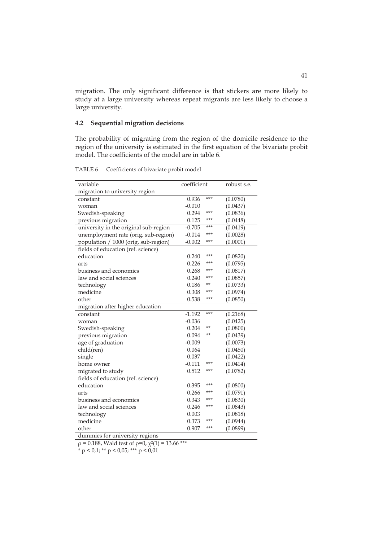migration. The only significant difference is that stickers are more likely to study at a large university whereas repeat migrants are less likely to choose a large university.

## **4.2 Sequential migration decisions**

The probability of migrating from the region of the domicile residence to the region of the university is estimated in the first equation of the bivariate probit model. The coefficients of the model are in table 6.

TABLE 6 Coefficients of bivariate probit model

| variable                                                   | coefficient |       | robust s.e. |
|------------------------------------------------------------|-------------|-------|-------------|
| migration to university region                             |             |       |             |
| constant                                                   | 0.936       | ***   | (0.0780)    |
| woman                                                      | $-0.010$    |       | (0.0437)    |
| Swedish-speaking                                           | 0.294       | ***   | (0.0836)    |
| previous migration                                         | 0.125       | ***   | (0.0448)    |
| university in the original sub-region                      | $-0.705$    | ***   | (0.0419)    |
| unemployment rate (orig. sub-region)                       | $-0.014$    | ***   | (0.0028)    |
| population / 1000 (orig. sub-region)                       | $-0.002$    | ***   | (0.0001)    |
| fields of education (ref. science)                         |             |       |             |
| education                                                  | 0.240       | ***   | (0.0820)    |
| arts                                                       | 0.226       | ***   | (0.0795)    |
| business and economics                                     | 0.268       | ***   | (0.0817)    |
| law and social sciences                                    | 0.240       | ***   | (0.0857)    |
| technology                                                 | 0.186       | $***$ | (0.0733)    |
| medicine                                                   | 0.308       | ***   | (0.0974)    |
| other                                                      | 0.538       | ***   | (0.0850)    |
| migration after higher education                           |             |       |             |
| constant                                                   | $-1.192$    | ***   | (0.2168)    |
| woman                                                      | $-0.036$    |       | (0.0425)    |
| Swedish-speaking                                           | 0.204       | **    | (0.0800)    |
| previous migration                                         | 0.094       | **    | (0.0439)    |
| age of graduation                                          | $-0.009$    |       | (0.0073)    |
| child(ren)                                                 | 0.064       |       | (0.0450)    |
| single                                                     | 0.037       |       | (0.0422)    |
| home owner                                                 | $-0.111$    | ***   | (0.0414)    |
| migrated to study                                          | 0.512       | ***   | (0.0782)    |
| fields of education (ref. science)                         |             |       |             |
| education                                                  | 0.395       | ***   | (0.0800)    |
| arts                                                       | 0.266       | ***   | (0.0791)    |
| business and economics                                     | 0.343       | ***   | (0.0830)    |
| law and social sciences                                    | 0.246       | ***   | (0.0843)    |
| technology                                                 | 0.003       |       | (0.0818)    |
| medicine                                                   | 0.373       | ***   | (0.0944)    |
| other                                                      | 0.907       | ***   | (0.0899)    |
| dummies for university regions                             |             |       |             |
| $p = 0.188$ , Wald test of $p=0$ , $\chi^2(1) = 13.66$ *** |             |       |             |

 $*$  p < 0,1;  $*$  p < 0,05;  $*$   $*$  p < 0,01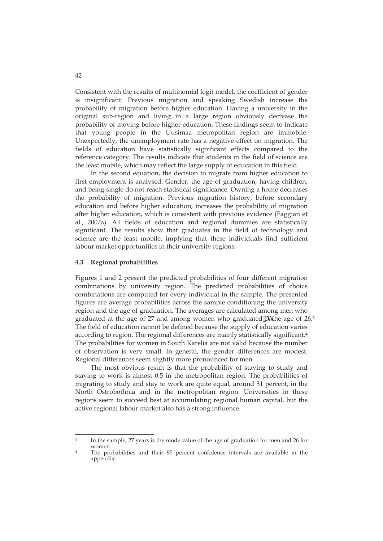Consistent with the results of multinomial logit model, the coefficient of gender is insignificant. Previous migration and speaking Swedish increase the probability of migration before higher education. Having a university in the original sub-region and living in a large region obviously decrease the probability of moving before higher education. These findings seem to indicate that young people in the Uusimaa metropolitan region are immobile. Unexpectedly, the unemployment rate has a negative effect on migration. The fields of education have statistically significant effects compared to the reference category. The results indicate that students in the field of science are the least mobile, which may reflect the large supply of education in this field.

In the second equation, the decision to migrate from higher education to first employment is analysed. Gender, the age of graduation, having children, and being single do not reach statistical significance. Owning a home decreases the probability of migration. Previous migration history, before secondary education and before higher education, increases the probability of migration after higher education, which is consistent with previous evidence (Faggian et al., 2007a). All fields of education and regional dummies are statistically significant. The results show that graduates in the field of technology and science are the least mobile, implying that these individuals find sufficient labour market opportunities in their university regions.

#### **4.3 Regional probabilities**

Figures 1 and 2 present the predicted probabilities of four different migration combinations by university region. The predicted probabilities of choice combinations are computed for every individual in the sample. The presented figures are average probabilities across the sample conditioning the university region and the age of graduation. The averages are calculated among men who graduated at the age of 27 and among women who graduated Unthe age of 26.<sup>3</sup> The field of education cannot be defined because the supply of education varies according to region. The regional differences are mainly statistically significant.4 The probabilities for women in South Karelia are not valid because the number of observation is very small. In general, the gender differences are modest. Regional differences seem slightly more pronounced for men.

The most obvious result is that the probability of staying to study and staying to work is almost 0.5 in the metropolitan region. The probabilities of migrating to study and stay to work are quite equal, around 31 percent, in the North Ostrobothnia and in the metropolitan region. Universities in these regions seem to succeed best at accumulating regional human capital, but the active regional labour market also has a strong influence.

 $\overline{3}$ In the sample, 27 years is the mode value of the age of graduation for men and 26 for women.

<sup>&</sup>lt;sup>4</sup> The probabilities and their 95 percent confidence intervals are available in the appendix.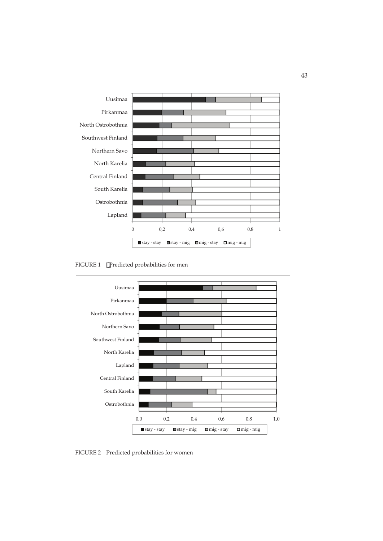

FIGURE 1 Predicted probabilities for men



FIGURE 2 Predicted probabilities for women

43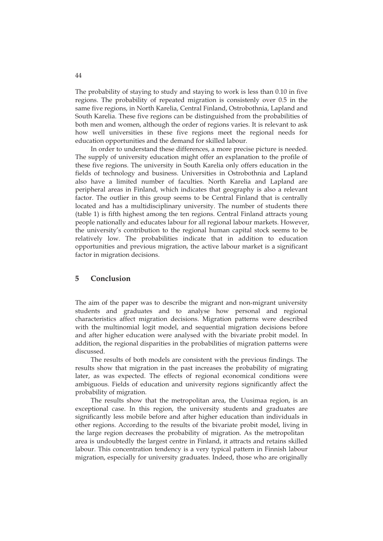The probability of staying to study and staying to work is less than 0.10 in five regions. The probability of repeated migration is consistenly over 0.5 in the same five regions, in North Karelia, Central Finland, Ostrobothnia, Lapland and South Karelia. These five regions can be distinguished from the probabilities of both men and women, although the order of regions varies. It is relevant to ask how well universities in these five regions meet the regional needs for education opportunities and the demand for skilled labour.

In order to understand these differences, a more precise picture is needed. The supply of university education might offer an explanation to the profile of these five regions. The university in South Karelia only offers education in the fields of technology and business. Universities in Ostrobothnia and Lapland also have a limited number of faculties. North Karelia and Lapland are peripheral areas in Finland, which indicates that geography is also a relevant factor. The outlier in this group seems to be Central Finland that is centrally located and has a multidisciplinary university. The number of students there (table 1) is fifth highest among the ten regions. Central Finland attracts young people nationally and educates labour for all regional labour markets. However, the university's contribution to the regional human capital stock seems to be relatively low. The probabilities indicate that in addition to education opportunities and previous migration, the active labour market is a significant factor in migration decisions.

## **5 Conclusion**

The aim of the paper was to describe the migrant and non-migrant university students and graduates and to analyse how personal and regional characteristics affect migration decisions. Migration patterns were described with the multinomial logit model, and sequential migration decisions before and after higher education were analysed with the bivariate probit model. In addition, the regional disparities in the probabilities of migration patterns were discussed.

The results of both models are consistent with the previous findings. The results show that migration in the past increases the probability of migrating later, as was expected. The effects of regional economical conditions were ambiguous. Fields of education and university regions significantly affect the probability of migration.

The results show that the metropolitan area, the Uusimaa region, is an exceptional case. In this region, the university students and graduates are significantly less mobile before and after higher education than individuals in other regions. According to the results of the bivariate probit model, living in the large region decreases the probability of migration. As the metropolitan area is undoubtedly the largest centre in Finland, it attracts and retains skilled labour. This concentration tendency is a very typical pattern in Finnish labour migration, especially for university graduates. Indeed, those who are originally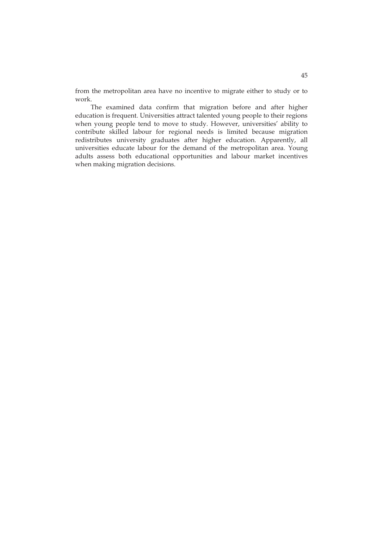from the metropolitan area have no incentive to migrate either to study or to work.

The examined data confirm that migration before and after higher education is frequent. Universities attract talented young people to their regions when young people tend to move to study. However, universities' ability to contribute skilled labour for regional needs is limited because migration redistributes university graduates after higher education. Apparently, all universities educate labour for the demand of the metropolitan area. Young adults assess both educational opportunities and labour market incentives when making migration decisions.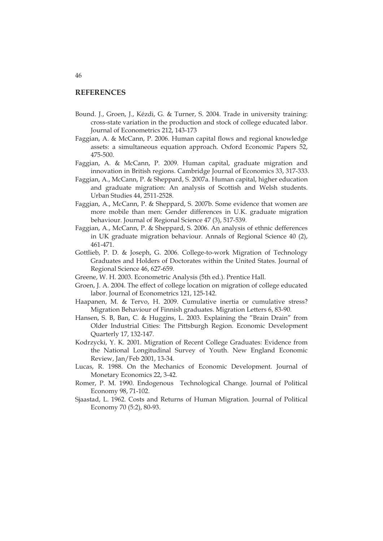#### **REFERENCES**

- Bound. J., Groen, J., Kézdi, G. & Turner, S. 2004. Trade in university training: cross-state variation in the production and stock of college educated labor. Journal of Econometrics 212, 143-173
- Faggian, A. & McCann, P. 2006. Human capital flows and regional knowledge assets: a simultaneous equation approach. Oxford Economic Papers 52, 475-500.
- Faggian, A. & McCann, P. 2009. Human capital, graduate migration and innovation in British regions. Cambridge Journal of Economics 33, 317-333.
- Faggian, A., McCann, P. & Sheppard, S. 2007a. Human capital, higher education and graduate migration: An analysis of Scottish and Welsh students. Urban Studies 44, 2511-2528.
- Faggian, A., McCann, P. & Sheppard, S. 2007b. Some evidence that women are more mobile than men: Gender differences in U.K. graduate migration behaviour. Journal of Regional Science 47 (3), 517-539.
- Faggian, A., McCann, P. & Sheppard, S. 2006. An analysis of ethnic defferences in UK graduate migration behaviour. Annals of Regional Science 40 (2), 461-471.
- Gottlieb, P. D. & Joseph, G. 2006. College-to-work Migration of Technology Graduates and Holders of Doctorates within the United States. Journal of Regional Science 46, 627-659.
- Greene, W. H. 2003. Econometric Analysis (5th ed.). Prentice Hall.
- Groen, J. A. 2004. The effect of college location on migration of college educated labor. Journal of Econometrics 121, 125-142.
- Haapanen, M. & Tervo, H. 2009. Cumulative inertia or cumulative stress? Migration Behaviour of Finnish graduates. Migration Letters 6, 83-90.
- Hansen, S. B, Ban, C. & Huggins, L. 2003. Explaining the "Brain Drain" from Older Industrial Cities: The Pittsburgh Region. Economic Development Quarterly 17, 132-147.
- Kodrzycki, Y. K. 2001. Migration of Recent College Graduates: Evidence from the National Longitudinal Survey of Youth. New England Economic Review, Jan/Feb 2001, 13-34.
- Lucas, R. 1988. On the Mechanics of Economic Development. Journal of Monetary Economics 22, 3-42.
- Romer, P. M. 1990. Endogenous Technological Change. Journal of Political Economy 98, 71-102.
- Sjaastad, L. 1962. Costs and Returns of Human Migration. Journal of Political Economy 70 (5:2), 80-93.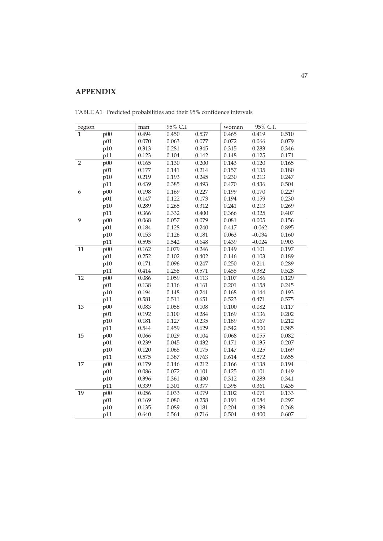## **APPENDIX**

| region       |     | man   | 95% C.I. |       | woman | 95% C.I. |       |
|--------------|-----|-------|----------|-------|-------|----------|-------|
| $\mathbf{1}$ | p00 | 0.494 | 0.450    | 0.537 | 0.465 | 0.419    | 0.510 |
|              | p01 | 0.070 | 0.063    | 0.077 | 0.072 | 0.066    | 0.079 |
|              | p10 | 0.313 | 0.281    | 0.345 | 0.315 | 0.283    | 0.346 |
|              | p11 | 0.123 | 0.104    | 0.142 | 0.148 | 0.125    | 0.171 |
| $\sqrt{2}$   | p00 | 0.165 | 0.130    | 0.200 | 0.143 | 0.120    | 0.165 |
|              | p01 | 0.177 | 0.141    | 0.214 | 0.157 | 0.135    | 0.180 |
|              | p10 | 0.219 | 0.193    | 0.245 | 0.230 | 0.213    | 0.247 |
|              | p11 | 0.439 | 0.385    | 0.493 | 0.470 | 0.436    | 0.504 |
| 6            | p00 | 0.198 | 0.169    | 0.227 | 0.199 | 0.170    | 0.229 |
|              | p01 | 0.147 | 0.122    | 0.173 | 0.194 | 0.159    | 0.230 |
|              | p10 | 0.289 | 0.265    | 0.312 | 0.241 | 0.213    | 0.269 |
|              | p11 | 0.366 | 0.332    | 0.400 | 0.366 | 0.325    | 0.407 |
| 9            | p00 | 0.068 | 0.057    | 0.079 | 0.081 | 0.005    | 0.156 |
|              | p01 | 0.184 | 0.128    | 0.240 | 0.417 | $-0.062$ | 0.895 |
|              | p10 | 0.153 | 0.126    | 0.181 | 0.063 | $-0.034$ | 0.160 |
|              | p11 | 0.595 | 0.542    | 0.648 | 0.439 | $-0.024$ | 0.903 |
| 11           | p00 | 0.162 | 0.079    | 0.246 | 0.149 | 0.101    | 0.197 |
|              | p01 | 0.252 | 0.102    | 0.402 | 0.146 | 0.103    | 0.189 |
|              | p10 | 0.171 | 0.096    | 0.247 | 0.250 | 0.211    | 0.289 |
|              | p11 | 0.414 | 0.258    | 0.571 | 0.455 | 0.382    | 0.528 |
| 12           | p00 | 0.086 | 0.059    | 0.113 | 0.107 | 0.086    | 0.129 |
|              | p01 | 0.138 | 0.116    | 0.161 | 0.201 | 0.158    | 0.245 |
|              | p10 | 0.194 | 0.148    | 0.241 | 0.168 | 0.144    | 0.193 |
|              | p11 | 0.581 | 0.511    | 0.651 | 0.523 | 0.471    | 0.575 |
| 13           | p00 | 0.083 | 0.058    | 0.108 | 0.100 | 0.082    | 0.117 |
|              | p01 | 0.192 | 0.100    | 0.284 | 0.169 | 0.136    | 0.202 |
|              | p10 | 0.181 | 0.127    | 0.235 | 0.189 | 0.167    | 0.212 |
|              | p11 | 0.544 | 0.459    | 0.629 | 0.542 | 0.500    | 0.585 |
| 15           | p00 | 0.066 | 0.029    | 0.104 | 0.068 | 0.055    | 0.082 |
|              | p01 | 0.239 | 0.045    | 0.432 | 0.171 | 0.135    | 0.207 |
|              | p10 | 0.120 | 0.065    | 0.175 | 0.147 | 0.125    | 0.169 |
|              | p11 | 0.575 | 0.387    | 0.763 | 0.614 | 0.572    | 0.655 |
| 17           | p00 | 0.179 | 0.146    | 0.212 | 0.166 | 0.138    | 0.194 |
|              | p01 | 0.086 | 0.072    | 0.101 | 0.125 | 0.101    | 0.149 |
|              | p10 | 0.396 | 0.361    | 0.430 | 0.312 | 0.283    | 0.341 |
|              | p11 | 0.339 | 0.301    | 0.377 | 0.398 | 0.361    | 0.435 |
| 19           | p00 | 0.056 | 0.033    | 0.079 | 0.102 | 0.071    | 0.133 |
|              | p01 | 0.169 | 0.080    | 0.258 | 0.191 | 0.084    | 0.297 |
|              | p10 | 0.135 | 0.089    | 0.181 | 0.204 | 0.139    | 0.268 |
|              | p11 | 0.640 | 0.564    | 0.716 | 0.504 | 0.400    | 0.607 |

TABLE A1 Predicted probabilities and their 95% confidence intervals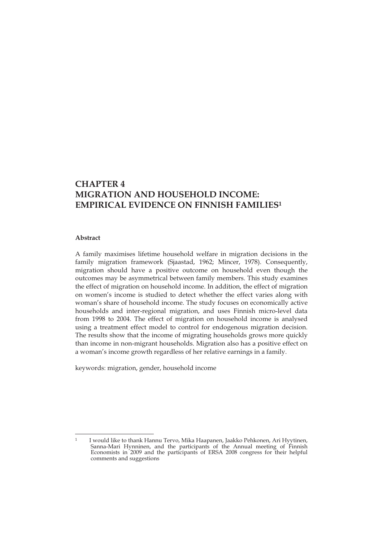## **CHAPTER 4 MIGRATION AND HOUSEHOLD INCOME: EMPIRICAL EVIDENCE ON FINNISH FAMILIES1**

#### **Abstract**

-

A family maximises lifetime household welfare in migration decisions in the family migration framework (Sjaastad, 1962; Mincer, 1978). Consequently, migration should have a positive outcome on household even though the outcomes may be asymmetrical between family members. This study examines the effect of migration on household income. In addition, the effect of migration on women's income is studied to detect whether the effect varies along with woman's share of household income. The study focuses on economically active households and inter-regional migration, and uses Finnish micro-level data from 1998 to 2004. The effect of migration on household income is analysed using a treatment effect model to control for endogenous migration decision. The results show that the income of migrating households grows more quickly than income in non-migrant households. Migration also has a positive effect on a woman's income growth regardless of her relative earnings in a family.

keywords: migration, gender, household income

<sup>1</sup> I would like to thank Hannu Tervo, Mika Haapanen, Jaakko Pehkonen, Ari Hyytinen, Sanna-Mari Hynninen, and the participants of the Annual meeting of Finnish Economists in 2009 and the participants of ERSA 2008 congress for their helpful comments and suggestions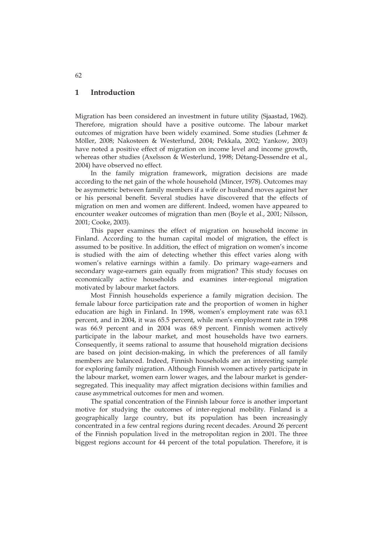## **1 Introduction**

Migration has been considered an investment in future utility (Sjaastad, 1962). Therefore, migration should have a positive outcome. The labour market outcomes of migration have been widely examined. Some studies (Lehmer & Möller, 2008; Nakosteen & Westerlund, 2004; Pekkala, 2002; Yankow, 2003) have noted a positive effect of migration on income level and income growth, whereas other studies (Axelsson & Westerlund, 1998; Détang-Dessendre et al., 2004) have observed no effect.

In the family migration framework, migration decisions are made according to the net gain of the whole household (Mincer, 1978). Outcomes may be asymmetric between family members if a wife or husband moves against her or his personal benefit. Several studies have discovered that the effects of migration on men and women are different. Indeed, women have appeared to encounter weaker outcomes of migration than men (Boyle et al., 2001; Nilsson, 2001; Cooke, 2003).

This paper examines the effect of migration on household income in Finland. According to the human capital model of migration, the effect is assumed to be positive. In addition, the effect of migration on women's income is studied with the aim of detecting whether this effect varies along with women's relative earnings within a family. Do primary wage-earners and secondary wage-earners gain equally from migration? This study focuses on economically active households and examines inter-regional migration motivated by labour market factors.

Most Finnish households experience a family migration decision. The female labour force participation rate and the proportion of women in higher education are high in Finland. In 1998, women's employment rate was 63.1 percent, and in 2004, it was 65.5 percent, while men's employment rate in 1998 was 66.9 percent and in 2004 was 68.9 percent. Finnish women actively participate in the labour market, and most households have two earners. Consequently, it seems rational to assume that household migration decisions are based on joint decision-making, in which the preferences of all family members are balanced. Indeed, Finnish households are an interesting sample for exploring family migration. Although Finnish women actively participate in the labour market, women earn lower wages, and the labour market is gendersegregated. This inequality may affect migration decisions within families and cause asymmetrical outcomes for men and women.

The spatial concentration of the Finnish labour force is another important motive for studying the outcomes of inter-regional mobility. Finland is a geographically large country, but its population has been increasingly concentrated in a few central regions during recent decades. Around 26 percent of the Finnish population lived in the metropolitan region in 2001. The three biggest regions account for 44 percent of the total population. Therefore, it is

62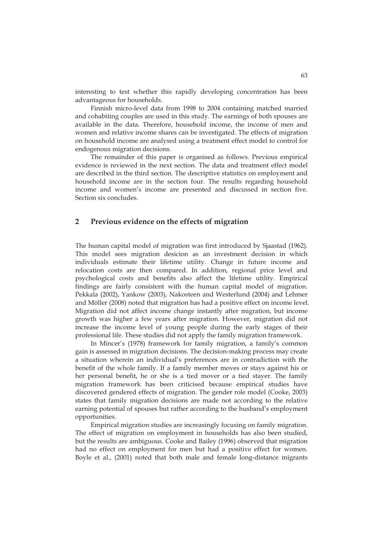interesting to test whether this rapidly developing concentration has been advantageous for households.

Finnish micro-level data from 1998 to 2004 containing matched married and cohabiting couples are used in this study. The earnings of both spouses are available in the data. Therefore, household income, the income of men and women and relative income shares can be investigated. The effects of migration on household income are analysed using a treatment effect model to control for endogenous migration decisions.

The remainder of this paper is organised as follows. Previous empirical evidence is reviewed in the next section. The data and treatment effect model are described in the third section. The descriptive statistics on employment and household income are in the section four. The results regarding household income and women's income are presented and discussed in section five. Section six concludes.

## **2 Previous evidence on the effects of migration**

The human capital model of migration was first introduced by Sjaastad (1962). This model sees migration desicion as an investment decision in which individuals estimate their lifetime utility. Change in future income and relocation costs are then compared. In addition, regional price level and psychological costs and benefits also affect the lifetime utility. Empirical findings are fairly consistent with the human capital model of migration. Pekkala (2002), Yankow (2003), Nakosteen and Westerlund (2004) and Lehmer and Möller (2008) noted that migration has had a positive effect on income level. Migration did not affect income change instantly after migration, but income growth was higher a few years after migration. However, migration did not increase the income level of young people during the early stages of their professional life. These studies did not apply the family migration framework.

In Mincer's (1978) framework for family migration, a family's common gain is assessed in migration decisions. The decision-making process may create a situation wherein an individual's preferences are in contradiction with the benefit of the whole family. If a family member moves or stays against his or her personal benefit, he or she is a tied mover or a tied stayer. The family migration framework has been criticised because empirical studies have discovered gendered effects of migration. The gender role model (Cooke, 2003) states that family migration decisions are made not according to the relative earning potential of spouses but rather according to the husband's employment opportunities.

Empirical migration studies are increasingly focusing on family migration. The effect of migration on employment in households has also been studied, but the results are ambiguous. Cooke and Bailey (1996) observed that migration had no effect on employment for men but had a positive effect for women. Boyle et al., (2001) noted that both male and female long-distance migrants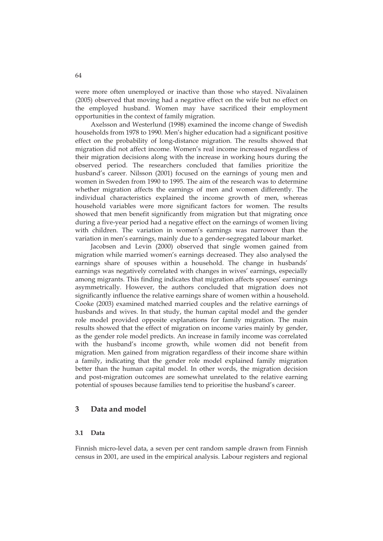were more often unemployed or inactive than those who stayed. Nivalainen (2005) observed that moving had a negative effect on the wife but no effect on the employed husband. Women may have sacrificed their employment opportunities in the context of family migration.

Axelsson and Westerlund (1998) examined the income change of Swedish households from 1978 to 1990. Men's higher education had a significant positive effect on the probability of long-distance migration. The results showed that migration did not affect income. Women's real income increased regardless of their migration decisions along with the increase in working hours during the observed period. The researchers concluded that families prioritize the husband's career. Nilsson (2001) focused on the earnings of young men and women in Sweden from 1990 to 1995. The aim of the research was to determine whether migration affects the earnings of men and women differently. The individual characteristics explained the income growth of men, whereas household variables were more significant factors for women. The results showed that men benefit significantly from migration but that migrating once during a five-year period had a negative effect on the earnings of women living with children. The variation in women's earnings was narrower than the variation in men's earnings, mainly due to a gender-segregated labour market.

Jacobsen and Levin (2000) observed that single women gained from migration while married women's earnings decreased. They also analysed the earnings share of spouses within a household. The change in husbands' earnings was negatively correlated with changes in wives' earnings, especially among migrants. This finding indicates that migration affects spouses' earnings asymmetrically. However, the authors concluded that migration does not significantly influence the relative earnings share of women within a household. Cooke (2003) examined matched married couples and the relative earnings of husbands and wives. In that study, the human capital model and the gender role model provided opposite explanations for family migration. The main results showed that the effect of migration on income varies mainly by gender, as the gender role model predicts. An increase in family income was correlated with the husband's income growth, while women did not benefit from migration. Men gained from migration regardless of their income share within a family, indicating that the gender role model explained family migration better than the human capital model. In other words, the migration decision and post-migration outcomes are somewhat unrelated to the relative earning potential of spouses because families tend to prioritise the husband's career.

#### **3 Data and model**

### **3.1 Data**

Finnish micro-level data, a seven per cent random sample drawn from Finnish census in 2001, are used in the empirical analysis. Labour registers and regional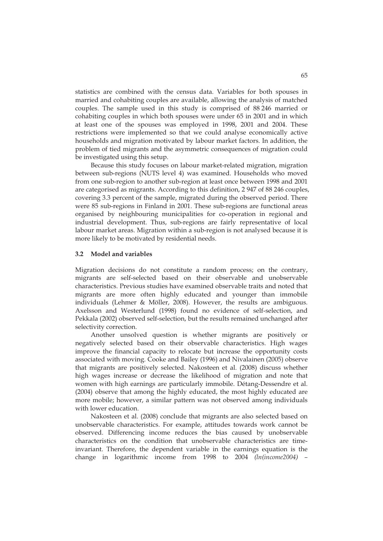statistics are combined with the census data. Variables for both spouses in married and cohabiting couples are available, allowing the analysis of matched couples. The sample used in this study is comprised of 88 246 married or cohabiting couples in which both spouses were under 65 in 2001 and in which at least one of the spouses was employed in 1998, 2001 and 2004. These restrictions were implemented so that we could analyse economically active households and migration motivated by labour market factors. In addition, the problem of tied migrants and the asymmetric consequences of migration could be investigated using this setup.

Because this study focuses on labour market-related migration, migration between sub-regions (NUTS level 4) was examined. Households who moved from one sub-region to another sub-region at least once between 1998 and 2001 are categorised as migrants. According to this definition, 2 947 of 88 246 couples, covering 3.3 percent of the sample, migrated during the observed period. There were 85 sub-regions in Finland in 2001. These sub-regions are functional areas organised by neighbouring municipalities for co-operation in regional and industrial development. Thus, sub-regions are fairly representative of local labour market areas. Migration within a sub-region is not analysed because it is more likely to be motivated by residential needs.

#### **3.2 Model and variables**

Migration decisions do not constitute a random process; on the contrary, migrants are self-selected based on their observable and unobservable characteristics. Previous studies have examined observable traits and noted that migrants are more often highly educated and younger than immobile individuals (Lehmer & Möller, 2008). However, the results are ambiguous. Axelsson and Westerlund (1998) found no evidence of self-selection, and Pekkala (2002) observed self-selection, but the results remained unchanged after selectivity correction.

Another unsolved question is whether migrants are positively or negatively selected based on their observable characteristics. High wages improve the financial capacity to relocate but increase the opportunity costs associated with moving. Cooke and Bailey (1996) and Nivalainen (2005) observe that migrants are positively selected. Nakosteen et al. (2008) discuss whether high wages increase or decrease the likelihood of migration and note that women with high earnings are particularly immobile. Détang-Dessendre et al. (2004) observe that among the highly educated, the most highly educated are more mobile; however, a similar pattern was not observed among individuals with lower education.

Nakosteen et al. (2008) conclude that migrants are also selected based on unobservable characteristics. For example, attitudes towards work cannot be observed. Differencing income reduces the bias caused by unobservable characteristics on the condition that unobservable characteristics are timeinvariant. Therefore, the dependent variable in the earnings equation is the change in logarithmic income from 1998 to 2004 *(ln(income2004) –*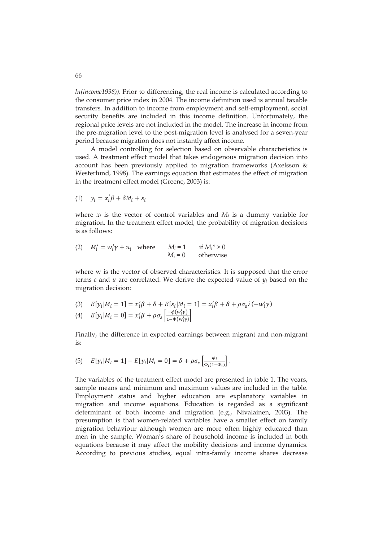*ln(income1998)).* Prior to differencing, the real income is calculated according to the consumer price index in 2004. The income definition used is annual taxable transfers. In addition to income from employment and self-employment, social security benefits are included in this income definition. Unfortunately, the regional price levels are not included in the model. The increase in income from the pre-migration level to the post-migration level is analysed for a seven-year period because migration does not instantly affect income.

A model controlling for selection based on observable characteristics is used. A treatment effect model that takes endogenous migration decision into account has been previously applied to migration frameworks (Axelsson & Westerlund, 1998). The earnings equation that estimates the effect of migration in the treatment effect model (Greene, 2003) is:

(1) 
$$
y_i = x_i' \beta + \delta M_i + \varepsilon_i
$$

where  $x_i$  is the vector of control variables and  $M_i$  is a dummy variable for migration. In the treatment effect model, the probability of migration decisions is as follows:

(2) 
$$
M_i^* = w_i' \gamma + u_i
$$
 where  $M_i = 1$  if  $M_i^* > 0$   
 $M_i = 0$  otherwise

where w is the vector of observed characteristics. It is supposed that the error terms  $\varepsilon$  and  $u$  are correlated. We derive the expected value of  $y_i$  based on the migration decision:

(3) 
$$
E[y_i|M_i = 1] = x'_i\beta + \delta + E[\varepsilon_i|M_i = 1] = x'_i\beta + \delta + \rho\sigma_{\varepsilon}\lambda(-w'_i\gamma)
$$
  
(4) 
$$
E[y_i|M_i = 0] = x'_i\beta + \rho\sigma_{\varepsilon}\left[\frac{-\phi(w'_i\gamma)}{1 - \phi(w'_i\gamma)}\right]
$$

(4) 
$$
E[y_i|M_i = 0] = x_i\beta + \rho\sigma_{\varepsilon} \left[ \frac{1}{1 - \Phi(w'_i \gamma)} \right]
$$

Finally, the difference in expected earnings between migrant and non-migrant  $i_{\rm C}$ 

(5) 
$$
E[y_i|M_i = 1] - E[y_i|M_i = 0] = \delta + \rho \sigma_{\varepsilon} \left[ \frac{\phi_i}{\Phi_i(1 - \Phi_i)} \right].
$$

The variables of the treatment effect model are presented in table 1. The years, sample means and minimum and maximum values are included in the table. Employment status and higher education are explanatory variables in migration and income equations. Education is regarded as a significant determinant of both income and migration (e.g., Nivalainen, 2003). The presumption is that women-related variables have a smaller effect on family migration behaviour although women are more often highly educated than men in the sample. Woman's share of household income is included in both equations because it may affect the mobility decisions and income dynamics. According to previous studies, equal intra-family income shares decrease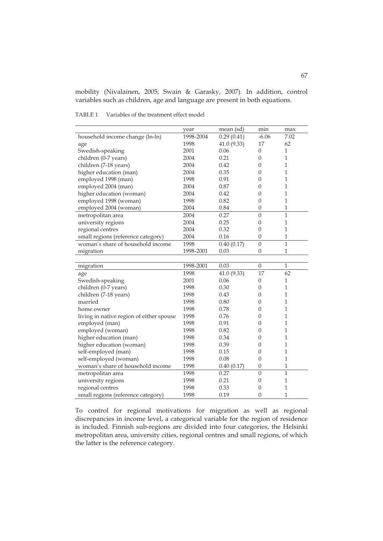mobility (Nivalainen, 2005; Swain & Garasky, 2007). In addition, control variables such as children, age and language are present in both equations.

|                                          | year      | mean (sd)   | min              | max            |
|------------------------------------------|-----------|-------------|------------------|----------------|
| household income change (ln-ln)          | 1998-2004 | 0.29(0.41)  | $-6.06$          | 7.02           |
| age                                      | 1998      | 41.0(9.33)  | 17               | 62             |
| Swedish-speaking                         | 2001      | 0.06        | $\overline{0}$   | $\mathbf{1}$   |
| children (0-7 years)                     | 2004      | 0.21        | $\theta$         | $\mathbf{1}$   |
| children (7-18 years)                    | 2004      | 0.42        | $\overline{0}$   | $\mathbf{1}$   |
| higher education (man)                   | 2004      | 0.35        | $\theta$         | $\mathbf{1}$   |
| employed 1998 (man)                      | 1998      | 0.91        | $\theta$         | $\mathbf{1}$   |
| employed 2004 (man)                      | 2004      | 0.87        | $\overline{0}$   | $\mathbf{1}$   |
| higher education (woman)                 | 2004      | 0.42        | $\overline{0}$   | $\mathbf{1}$   |
| employed 1998 (woman)                    | 1998      | 0.82        | $\theta$         | $\mathbf{1}$   |
| employed 2004 (woman)                    | 2004      | 0.84        | $\overline{0}$   | $\mathbf 1$    |
| metropolitan area                        | 2004      | 0.27        | $\Omega$         | $\overline{1}$ |
| university regions                       | 2004      | 0.25        | $\overline{0}$   | $\mathbf{1}$   |
| regional centres                         | 2004      | 0.32        | $\overline{0}$   | $\mathbf{1}$   |
| small regions (reference category)       | 2004      | 0.16        | $\overline{0}$   | $\mathbf 1$    |
| woman's share of household income        | 1998      | 0.40(0.17)  | $\Omega$         | $\overline{1}$ |
| migration                                | 1998-2001 | 0.03        | $\overline{0}$   | $\mathbf 1$    |
|                                          |           |             |                  |                |
| migration                                | 1998-2001 | 0.03        | $\overline{0}$   | $\mathbf{1}$   |
| age                                      | 1998      | 41.0 (9.33) | 17               | 62             |
| Swedish-speaking                         | 2001      | 0.06        | $\overline{0}$   | $\mathbf 1$    |
| children (0-7 years)                     | 1998      | 0.30        | $\overline{0}$   | $\mathbf{1}$   |
| children (7-18 years)                    | 1998      | 0.43        | $\theta$         | $\mathbf{1}$   |
| married                                  | 1998      | 0.80        | $\theta$         | $\mathbf{1}$   |
| home owner                               | 1998      | 0.78        | 0                | $\mathbf{1}$   |
| living in native region of either spouse | 1998      | 0.76        | $\overline{0}$   | $\mathbf{1}$   |
| employed (man)                           | 1998      | 0.91        | $\theta$         | $\mathbf{1}$   |
| employed (woman)                         |           |             |                  |                |
| higher education (man)                   | 1998      | 0.82        | 0                | $\mathbf{1}$   |
|                                          | 1998      | 0.34        | $\overline{0}$   | $\mathbf{1}$   |
| higher education (woman)                 | 1998      | 0.39        | $\theta$         | $\mathbf{1}$   |
| self-employed (man)                      | 1998      | 0.15        | $\overline{0}$   | $\mathbf{1}$   |
| self-employed (woman)                    | 1998      | 0.08        | $\overline{0}$   | $\mathbf{1}$   |
| woman's share of household income        | 1998      | 0.40(0.17)  | $\overline{0}$   | $\mathbf{1}$   |
| metropolitan area                        | 1998      | 0.27        | $\mathbf{0}$     | $\overline{1}$ |
| university regions                       | 1998      | 0.21        | $\boldsymbol{0}$ | $\mathbf{1}$   |
| regional centres                         | 1998      | 0.33        | $\overline{0}$   | $\mathbf 1$    |

TABLE 1 Variables of the treatment effect model

To control for regional motivations for migration as well as regional discrepancies in income level, a categorical variable for the region of residence is included. Finnish sub-regions are divided into four categories, the Helsinki metropolitan area, university cities, regional centres and small regions, of which the latter is the reference category.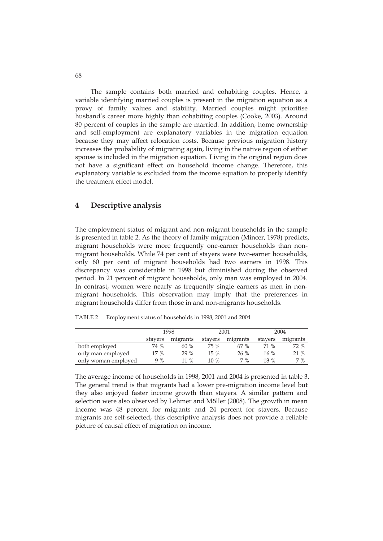The sample contains both married and cohabiting couples. Hence, a variable identifying married couples is present in the migration equation as a proxy of family values and stability. Married couples might prioritise husband's career more highly than cohabiting couples (Cooke, 2003). Around 80 percent of couples in the sample are married. In addition, home ownership and self-employment are explanatory variables in the migration equation because they may affect relocation costs. Because previous migration history increases the probability of migrating again, living in the native region of either spouse is included in the migration equation. Living in the original region does not have a significant effect on household income change. Therefore, this explanatory variable is excluded from the income equation to properly identify the treatment effect model.

#### **4 Descriptive analysis**

The employment status of migrant and non-migrant households in the sample is presented in table 2. As the theory of family migration (Mincer, 1978) predicts, migrant households were more frequently one-earner households than nonmigrant households. While 74 per cent of stayers were two-earner households, only 60 per cent of migrant households had two earners in 1998. This discrepancy was considerable in 1998 but diminished during the observed period. In 21 percent of migrant households, only man was employed in 2004. In contrast, women were nearly as frequently single earners as men in nonmigrant households. This observation may imply that the preferences in migrant households differ from those in and non-migrants households.

|  | TABLE 2 Employment status of households in 1998, 2001 and 2004 |
|--|----------------------------------------------------------------|
|  |                                                                |

|                     | 1998                |        |         | 2001     | 2004    |          |  |
|---------------------|---------------------|--------|---------|----------|---------|----------|--|
|                     | migrants<br>stavers |        | stavers | migrants | stavers | migrants |  |
| both employed       | 74 %                | 60%    | $75\%$  | 67%      | $71\%$  | 72 %     |  |
| only man employed   | $17 \%$             | 29%    | $15\%$  | 26 %     | $16\%$  | 21 %     |  |
| only woman employed | $9\%$               | $11\%$ | 10 $%$  | $7\%$    | $13\%$  | 7 %      |  |

The average income of households in 1998, 2001 and 2004 is presented in table 3. The general trend is that migrants had a lower pre-migration income level but they also enjoyed faster income growth than stayers. A similar pattern and selection were also observed by Lehmer and Möller (2008). The growth in mean income was 48 percent for migrants and 24 percent for stayers. Because migrants are self-selected, this descriptive analysis does not provide a reliable picture of causal effect of migration on income.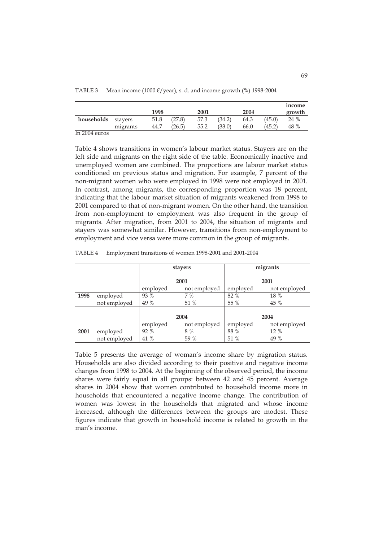|                          |          | 1998 |        | 2001 |        | 2004 |        | income<br>growth |
|--------------------------|----------|------|--------|------|--------|------|--------|------------------|
| households               | stavers  | 51.8 | (27.8) | 57.3 | (34.2) | 64.3 | (45.0) | 24 %             |
|                          | migrants | 44.7 | (26.5) | 55.2 | (33.0) | 66.0 | (45.2) | 48 %             |
| $L_2$ , $2004$ , $22222$ |          |      |        |      |        |      |        |                  |

TABLE 3 Mean income (1000  $\epsilon$ /year), s. d. and income growth (%) 1998-2004

In 2004 euros

Table 4 shows transitions in women's labour market status. Stayers are on the left side and migrants on the right side of the table. Economically inactive and unemployed women are combined. The proportions are labour market status conditioned on previous status and migration. For example, 7 percent of the non-migrant women who were employed in 1998 were not employed in 2001. In contrast, among migrants, the corresponding proportion was 18 percent, indicating that the labour market situation of migrants weakened from 1998 to 2001 compared to that of non-migrant women. On the other hand, the transition from non-employment to employment was also frequent in the group of migrants. After migration, from 2001 to 2004, the situation of migrants and stayers was somewhat similar. However, transitions from non-employment to employment and vice versa were more common in the group of migrants.

|      |              |          | stayers      |          | migrants     |
|------|--------------|----------|--------------|----------|--------------|
|      |              |          | 2001         |          | 2001         |
|      |              | employed | not employed | employed | not employed |
| 1998 | employed     | 93 %     | 7%           | 82 %     | 18 %         |
|      | not employed | 49 %     | 51 %         | 55 %     | 45 %         |
|      |              |          |              |          |              |
|      |              |          | 2004         |          | 2004         |
|      |              | employed | not employed | employed | not employed |
| 2001 | employed     | 92 %     | 8 %          | 88 %     | 12 %         |
|      | not employed | 41 %     | 59 %         | 51 %     | 49 %         |

TABLE 4 Employment transitions of women 1998-2001 and 2001-2004

Table 5 presents the average of woman's income share by migration status. Households are also divided according to their positive and negative income changes from 1998 to 2004. At the beginning of the observed period, the income shares were fairly equal in all groups: between 42 and 45 percent. Average shares in 2004 show that women contributed to household income more in households that encountered a negative income change. The contribution of women was lowest in the households that migrated and whose income increased, although the differences between the groups are modest. These figures indicate that growth in household income is related to growth in the man's income.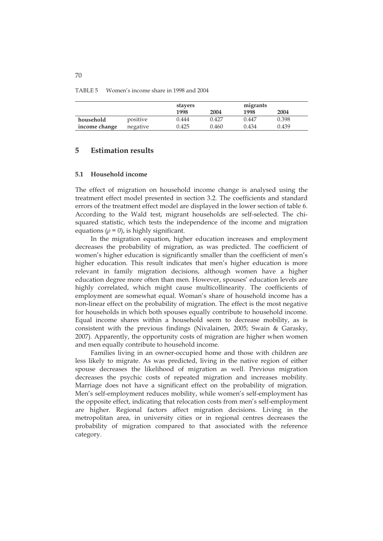TABLE 5 Women's income share in 1998 and 2004

|               |          | stavers |       |       | migrants |  |
|---------------|----------|---------|-------|-------|----------|--|
|               |          | 1998    | 2004  | 1998  | 2004     |  |
| household     | positive | 0.444   | 0.427 | 0.447 | 0.398    |  |
| income change | negative | 0.425   | 0.460 | 0.434 | 0.439    |  |

#### **5 Estimation results**

#### **5.1 Household income**

The effect of migration on household income change is analysed using the treatment effect model presented in section 3.2. The coefficients and standard errors of the treatment effect model are displayed in the lower section of table 6. According to the Wald test, migrant households are self-selected. The chisquared statistic, which tests the independence of the income and migration equations  $(\rho = 0)$ , is highly significant.

In the migration equation, higher education increases and employment decreases the probability of migration, as was predicted. The coefficient of women's higher education is significantly smaller than the coefficient of men's higher education. This result indicates that men's higher education is more relevant in family migration decisions, although women have a higher education degree more often than men. However, spouses' education levels are highly correlated, which might cause multicollinearity. The coefficients of employment are somewhat equal. Woman's share of household income has a non-linear effect on the probability of migration. The effect is the most negative for households in which both spouses equally contribute to household income. Equal income shares within a household seem to decrease mobility, as is consistent with the previous findings (Nivalainen, 2005; Swain & Garasky, 2007). Apparently, the opportunity costs of migration are higher when women and men equally contribute to household income.

Families living in an owner-occupied home and those with children are less likely to migrate. As was predicted, living in the native region of either spouse decreases the likelihood of migration as well. Previous migration decreases the psychic costs of repeated migration and increases mobility. Marriage does not have a significant effect on the probability of migration. Men's self-employment reduces mobility, while women's self-employment has the opposite effect, indicating that relocation costs from men's self-employment are higher. Regional factors affect migration decisions. Living in the metropolitan area, in university cities or in regional centres decreases the probability of migration compared to that associated with the reference category.

70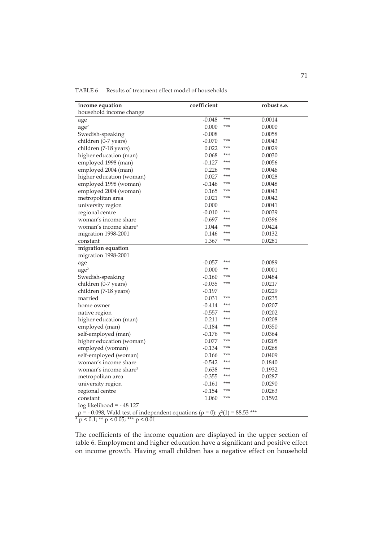TABLE 6 Results of treatment effect model of households

| income equation                   | coefficient |      | robust s.e. |
|-----------------------------------|-------------|------|-------------|
| household income change           |             |      |             |
| age                               | $-0.048$    | ***  | 0.0014      |
| age <sup>2</sup>                  | 0.000       | ***  | 0.0000      |
| Swedish-speaking                  | $-0.008$    |      | 0.0058      |
| children (0-7 years)              | $-0.070$    | ***  | 0.0043      |
| children (7-18 years)             | 0.022       | ***  | 0.0029      |
| higher education (man)            | 0.068       | ***  | 0.0030      |
| employed 1998 (man)               | $-0.127$    | ***  | 0.0056      |
| employed 2004 (man)               | 0.226       | ***  | 0.0046      |
| higher education (woman)          | 0.027       | ***  | 0.0028      |
| employed 1998 (woman)             | $-0.146$    | ***  | 0.0048      |
| employed 2004 (woman)             | 0.165       | ***  | 0.0043      |
| metropolitan area                 | 0.021       | ***  | 0.0042      |
| university region                 | 0.000       |      | 0.0041      |
| regional centre                   | $-0.010$    | ***  | 0.0039      |
| woman's income share              | $-0.697$    | ***  | 0.0396      |
| woman's income share <sup>2</sup> | 1.044       | ***  | 0.0424      |
| migration 1998-2001               | 0.146       | ***  | 0.0132      |
| constant                          | 1.367       | ***  | 0.0281      |
| migration equation                |             |      |             |
| migration 1998-2001               |             |      |             |
| age                               | $-0.057$    | ***  | 0.0089      |
| age <sup>2</sup>                  | 0.000       | $**$ | 0.0001      |
| Swedish-speaking                  | $-0.160$    | ***  | 0.0484      |
| children (0-7 years)              | $-0.035$    | ***  | 0.0217      |
| children (7-18 years)             | $-0.197$    |      | 0.0229      |
| married                           | 0.031       | ***  | 0.0235      |
| home owner                        | $-0.414$    | ***  | 0.0207      |
| native region                     | $-0.557$    | ***  | 0.0202      |
| higher education (man)            | 0.211       | ***  | 0.0208      |
| employed (man)                    | $-0.184$    | ***  | 0.0350      |
| self-employed (man)               | $-0.176$    | ***  | 0.0364      |
| higher education (woman)          | 0.077       | ***  | 0.0205      |
| employed (woman)                  | $-0.134$    | ***  | 0.0268      |
| self-employed (woman)             | 0.166       | ***  | 0.0409      |
| woman's income share              | $-0.542$    | ***  | 0.1840      |
| woman's income share <sup>2</sup> | 0.638       | ***  | 0.1932      |
| metropolitan area                 | $-0.355$    | ***  | 0.0287      |
| university region                 | -0.161      | ***  | 0.0290      |
| regional centre                   | -0.154      | ***  | 0.0263      |
| constant                          | 1.060       | ***  | 0.1592      |
| $log$ likelihood = -48 127        |             |      |             |

 $\rho$  = - 0.098, Wald test of independent equations ( $\rho$  = 0):  $\chi^2(1)$  = 88.53 \*\*\*

\* p < 0.1; \*\* p < 0.05; \*\*\* p < 0.01

The coefficients of the income equation are displayed in the upper section of table 6. Employment and higher education have a significant and positive effect on income growth. Having small children has a negative effect on household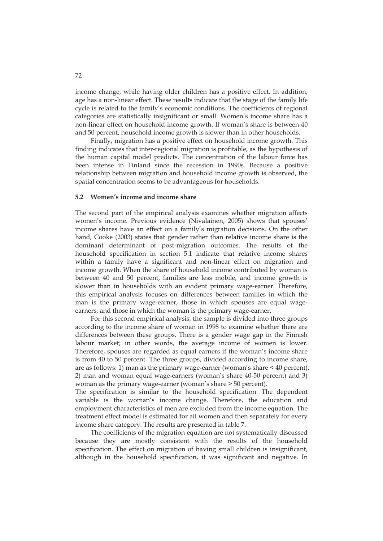income change, while having older children has a positive effect. In addition, age has a non-linear effect. These results indicate that the stage of the family life cycle is related to the family's economic conditions. The coefficients of regional categories are statistically insignificant or small. Women's income share has a non-linear effect on household income growth. If woman's share is between 40 and 50 percent, household income growth is slower than in other households.

Finally, migration has a positive effect on household income growth. This finding indicates that inter-regional migration is profitable, as the hypothesis of the human capital model predicts. The concentration of the labour force has been intense in Finland since the recession in 1990s. Because a positive relationship between migration and household income growth is observed, the spatial concentration seems to be advantageous for households.

#### **5.2 Women's income and income share**

The second part of the empirical analysis examines whether migration affects women's income. Previous evidence (Nivalainen, 2005) shows that spouses' income shares have an effect on a family's migration decisions. On the other hand, Cooke (2003) states that gender rather than relative income share is the dominant determinant of post-migration outcomes. The results of the household specification in section 5.1 indicate that relative income shares within a family have a significant and non-linear effect on migration and income growth. When the share of household income contributed by woman is between 40 and 50 percent, families are less mobile, and income growth is slower than in households with an evident primary wage-earner. Therefore, this empirical analysis focuses on differences between families in which the man is the primary wage-earner, those in which spouses are equal wageearners, and those in which the woman is the primary wage-earner.

For this second empirical analysis, the sample is divided into three groups according to the income share of woman in 1998 to examine whether there are differences between these groups. There is a gender wage gap in the Finnish labour market; in other words, the average income of women is lower. Therefore, spouses are regarded as equal earners if the woman's income share is from 40 to 50 percent. The three groups, divided according to income share, are as follows: 1) man as the primary wage-earner (woman's share < 40 percent), 2) man and woman equal wage-earners (woman's share 40-50 percent) and 3) woman as the primary wage-earner (woman's share > 50 percent).

The specification is similar to the household specification. The dependent variable is the woman's income change. Therefore, the education and employment characteristics of men are excluded from the income equation. The treatment effect model is estimated for all women and then separately for every income share category. The results are presented in table 7.

The coefficients of the migration equation are not systematically discussed because they are mostly consistent with the results of the household specification. The effect on migration of having small children is insignificant, although in the household specification, it was significant and negative. In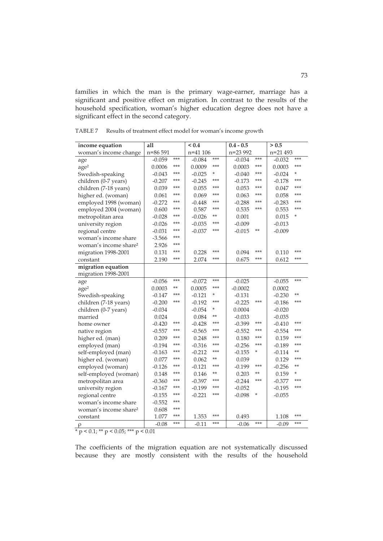families in which the man is the primary wage-earner, marriage has a significant and positive effect on migration. In contrast to the results of the household specification, woman's higher education degree does not have a significant effect in the second category.

| income equation                   | a11      |     | ${}_{0.4}$ |       | $0.4 - 0.5$ |     | > 0.5    |         |
|-----------------------------------|----------|-----|------------|-------|-------------|-----|----------|---------|
| woman's income change             | n=86 591 |     | n=41 106   |       | n=23 992    |     | n=21 493 |         |
| age                               | $-0.059$ | *** | $-0.084$   | ***   | $-0.034$    | *** | $-0.032$ | ***     |
| age <sup>2</sup>                  | 0.0006   | *** | 0.0009     | ***   | 0.0003      | *** | 0.0003   | ***     |
| Swedish-speaking                  | $-0.043$ | *** | $-0.025$   | *     | $-0.040$    | *** | $-0.024$ | *       |
| children (0-7 years)              | $-0.207$ | *** | $-0.245$   | ***   | $-0.173$    | *** | $-0.178$ | ***     |
| children (7-18 years)             | 0.039    | *** | 0.055      | ***   | 0.053       | *** | 0.047    | ***     |
| higher ed. (woman)                | 0.061    | *** | 0.069      | ***   | 0.063       | *** | 0.058    | ***     |
| employed 1998 (woman)             | $-0.272$ | *** | $-0.448$   | ***   | $-0.288$    | *** | $-0.283$ | ***     |
| employed 2004 (woman)             | 0.600    | *** | 0.587      | ***   | 0.535       | *** | 0.553    | ***     |
| metropolitan area                 | $-0.028$ | *** | $-0.026$   | **    | 0.001       |     | 0.015    | $\star$ |
| university region                 | $-0.026$ | *** | $-0.035$   | ***   | $-0.009$    |     | $-0.013$ |         |
| regional centre                   | $-0.031$ | *** | $-0.037$   | ***   | $-0.015$    | **  | $-0.009$ |         |
| woman's income share              | $-3.566$ | *** |            |       |             |     |          |         |
| woman's income share <sup>2</sup> | 2.926    | *** |            |       |             |     |          |         |
| migration 1998-2001               | 0.131    | *** | 0.228      | ***   | 0.094       | *** | 0.110    | ***     |
| constant                          | 2.190    | *** | 2.074      | ***   | 0.675       | *** | 0.612    | ***     |
| migration equation                |          |     |            |       |             |     |          |         |
| migration 1998-2001               |          |     |            |       |             |     |          |         |
| age                               | $-0.056$ | *** | $-0.072$   | ***   | $-0.025$    |     | $-0.055$ | ***     |
| age <sup>2</sup>                  | 0.0003   | **  | 0.0005     | ***   | $-0.0002$   |     | 0.0002   |         |
| Swedish-speaking                  | $-0.147$ | *** | $-0.121$   | *     | $-0.131$    |     | $-0.230$ | **      |
| children (7-18 years)             | $-0.200$ | *** | $-0.192$   | ***   | $-0.225$    | *** | $-0.186$ | ***     |
| children (0-7 years)              | $-0.034$ |     | $-0.054$   | *     | 0.0004      |     | $-0.020$ |         |
| married                           | 0.024    |     | 0.084      | $**$  | $-0.033$    |     | $-0.035$ |         |
| home owner                        | $-0.420$ | *** | $-0.428$   | ***   | $-0.399$    | *** | $-0.410$ | ***     |
| native region                     | $-0.557$ | *** | $-0.565$   | ***   | $-0.552$    | *** | $-0.554$ | ***     |
| higher ed. (man)                  | 0.209    | *** | 0.248      | ***   | 0.180       | *** | 0.159    | ***     |
| employed (man)                    | $-0.194$ | *** | $-0.316$   | ***   | $-0.256$    | *** | $-0.189$ | ***     |
| self-employed (man)               | $-0.163$ | *** | $-0.212$   | ***   | $-0.155$    | *   | $-0.114$ | $***$   |
| higher ed. (woman)                | 0.077    | *** | 0.062      | $**$  | 0.039       |     | 0.129    | ***     |
| employed (woman)                  | $-0.126$ | *** | $-0.121$   | ***   | $-0.199$    | *** | $-0.256$ | $***$   |
| self-employed (woman)             | 0.148    | *** | 0.146      | $***$ | 0.203       | **  | 0.159    | *       |
| metropolitan area                 | $-0.360$ | *** | $-0.397$   | ***   | $-0.244$    | *** | $-0.377$ | ***     |
| university region                 | $-0.167$ | *** | $-0.199$   | ***   | $-0.052$    |     | $-0.195$ | ***     |
| regional centre                   | $-0.155$ | *** | $-0.221$   | ***   | $-0.098$    | *   | $-0.055$ |         |
| woman's income share              | $-0.552$ | *** |            |       |             |     |          |         |
| woman's income share <sup>2</sup> | 0.608    | *** |            |       |             |     |          |         |
| constant                          | 1.077    | *** | 1.353      | ***   | 0.493       |     | 1.108    | ***     |
| $\rho$                            | $-0.08$  | *** | $-0.11$    | ***   | $-0.06$     | *** | $-0.09$  | ***     |

TABLE 7 Results of treatment effect model for woman's income growth

 $\frac{1}{2}$   $\frac{1}{2}$   $\frac{1}{2}$   $\frac{1}{2}$   $\frac{1}{2}$   $\frac{1}{2}$   $\frac{1}{2}$   $\frac{1}{2}$   $\frac{1}{2}$   $\frac{1}{2}$   $\frac{1}{2}$   $\frac{1}{2}$   $\frac{1}{2}$   $\frac{1}{2}$   $\frac{1}{2}$   $\frac{1}{2}$   $\frac{1}{2}$   $\frac{1}{2}$   $\frac{1}{2}$   $\frac{1}{2}$   $\frac{1}{2}$   $\frac{1}{2}$ 

The coefficients of the migration equation are not systematically discussed because they are mostly consistent with the results of the household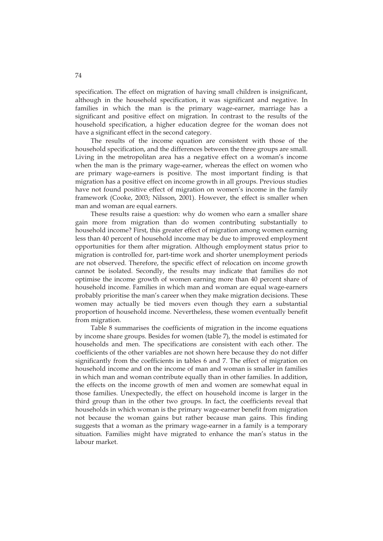specification. The effect on migration of having small children is insignificant, although in the household specification, it was significant and negative. In families in which the man is the primary wage-earner, marriage has a significant and positive effect on migration. In contrast to the results of the household specification, a higher education degree for the woman does not have a significant effect in the second category.

The results of the income equation are consistent with those of the household specification, and the differences between the three groups are small. Living in the metropolitan area has a negative effect on a woman's income when the man is the primary wage-earner, whereas the effect on women who are primary wage-earners is positive. The most important finding is that migration has a positive effect on income growth in all groups. Previous studies have not found positive effect of migration on women's income in the family framework (Cooke, 2003; Nilsson, 2001). However, the effect is smaller when man and woman are equal earners.

These results raise a question: why do women who earn a smaller share gain more from migration than do women contributing substantially to household income? First, this greater effect of migration among women earning less than 40 percent of household income may be due to improved employment opportunities for them after migration. Although employment status prior to migration is controlled for, part-time work and shorter unemployment periods are not observed. Therefore, the specific effect of relocation on income growth cannot be isolated. Secondly, the results may indicate that families do not optimise the income growth of women earning more than 40 percent share of household income. Families in which man and woman are equal wage-earners probably prioritise the man's career when they make migration decisions. These women may actually be tied movers even though they earn a substantial proportion of household income. Nevertheless, these women eventually benefit from migration.

Table 8 summarises the coefficients of migration in the income equations by income share groups. Besides for women (table 7), the model is estimated for households and men. The specifications are consistent with each other. The coefficients of the other variables are not shown here because they do not differ significantly from the coefficients in tables 6 and 7. The effect of migration on household income and on the income of man and woman is smaller in families in which man and woman contribute equally than in other families. In addition, the effects on the income growth of men and women are somewhat equal in those families. Unexpectedly, the effect on household income is larger in the third group than in the other two groups. In fact, the coefficients reveal that households in which woman is the primary wage-earner benefit from migration not because the woman gains but rather because man gains. This finding suggests that a woman as the primary wage-earner in a family is a temporary situation. Families might have migrated to enhance the man's status in the labour market.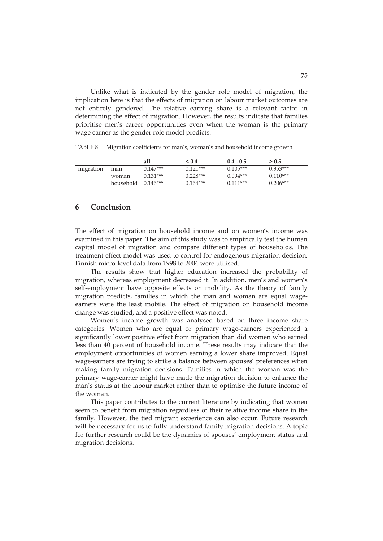Unlike what is indicated by the gender role model of migration, the implication here is that the effects of migration on labour market outcomes are not entirely gendered. The relative earning share is a relevant factor in determining the effect of migration. However, the results indicate that families prioritise men's career opportunities even when the woman is the primary wage earner as the gender role model predicts.

|           |                      | all        | ${}_{\leq 0.4}$ | $0.4 - 0.5$ | > 0.5      |
|-----------|----------------------|------------|-----------------|-------------|------------|
| migration | man                  | $0.147***$ | $0.121***$      | $0.105***$  | $0.353***$ |
|           | woman                | $0.131***$ | $0.228***$      | $0.094***$  | $0.110***$ |
|           | household $0.146***$ |            | $0.164***$      | $0.111***$  | $0.206***$ |

TABLE 8 Migration coefficients for man's, woman's and household income growth

## **6 Conclusion**

The effect of migration on household income and on women's income was examined in this paper. The aim of this study was to empirically test the human capital model of migration and compare different types of households. The treatment effect model was used to control for endogenous migration decision. Finnish micro-level data from 1998 to 2004 were utilised.

The results show that higher education increased the probability of migration, whereas employment decreased it. In addition, men's and women's self-employment have opposite effects on mobility. As the theory of family migration predicts, families in which the man and woman are equal wageearners were the least mobile. The effect of migration on household income change was studied, and a positive effect was noted.

Women's income growth was analysed based on three income share categories. Women who are equal or primary wage-earners experienced a significantly lower positive effect from migration than did women who earned less than 40 percent of household income. These results may indicate that the employment opportunities of women earning a lower share improved. Equal wage-earners are trying to strike a balance between spouses' preferences when making family migration decisions. Families in which the woman was the primary wage-earner might have made the migration decision to enhance the man's status at the labour market rather than to optimise the future income of the woman.

This paper contributes to the current literature by indicating that women seem to benefit from migration regardless of their relative income share in the family. However, the tied migrant experience can also occur. Future research will be necessary for us to fully understand family migration decisions. A topic for further research could be the dynamics of spouses' employment status and migration decisions.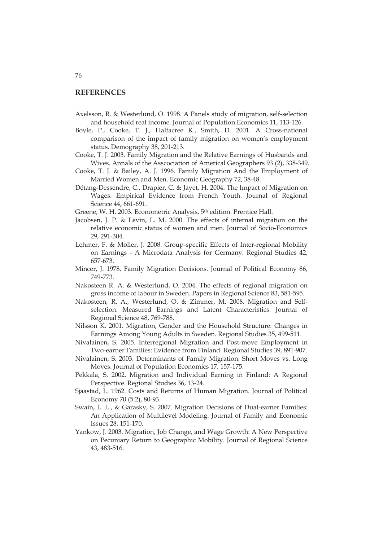#### **REFERENCES**

- Axelsson, R. & Westerlund, O. 1998. A Panels study of migration, self-selection and household real income. Journal of Population Economics 11, 113-126.
- Boyle, P., Cooke, T. J., Halfacree K., Smith, D. 2001. A Cross-national comparison of the impact of family migration on women's employment status. Demography 38, 201-213.
- Cooke, T. J. 2003. Family Migration and the Relative Earnings of Husbands and Wives. Annals of the Asscociation of Americal Geographers 93 (2), 338-349.
- Cooke, T. J. & Bailey, A. J. 1996. Family Migration And the Employment of Married Women and Men. Economic Geography 72, 38-48.
- Détang-Dessendre, C., Drapier, C. & Jayet, H. 2004. The Impact of Migration on Wages: Empirical Evidence from French Youth. Journal of Regional Science 44, 661-691.

Greene, W. H. 2003. Econometric Analysis, 5th edition. Prentice Hall.

- Jacobsen, J. P. & Levin, L. M. 2000. The effects of internal migration on the relative economic status of women and men. Journal of Socio-Economics 29, 291-304.
- Lehmer, F. & Möller, J. 2008. Group-specific Effects of Inter-regional Mobility on Earnings - A Microdata Analysis for Germany. Regional Studies 42, 657-673.
- Mincer, J. 1978. Family Migration Decisions. Journal of Political Economy 86, 749-773.
- Nakosteen R. A. & Westerlund, O. 2004. The effects of regional migration on gross income of labour in Sweden. Papers in Regional Science 83, 581-595.
- Nakosteen, R. A., Westerlund, O. & Zimmer, M. 2008. Migration and Selfselection: Measured Earnings and Latent Characteristics. Journal of Regional Science 48, 769-788.
- Nilsson K. 2001. Migration, Gender and the Household Structure: Changes in Earnings Among Young Adults in Sweden. Regional Studies 35, 499-511.
- Nivalainen, S. 2005. Interregional Migration and Post-move Employment in Two-earner Families: Evidence from Finland. Regional Studies 39, 891-907.
- Nivalainen, S. 2003. Determinants of Family Migration: Short Moves vs. Long Moves. Journal of Population Economics 17, 157-175.
- Pekkala, S. 2002. Migration and Individual Earning in Finland: A Regional Perspective. Regional Studies 36, 13-24.
- Sjaastad, L. 1962. Costs and Returns of Human Migration. Journal of Political Economy 70 (5:2), 80-93.
- Swain, L. L., & Garasky, S. 2007. Migration Decisions of Dual-earner Families: An Application of Multilevel Modeling. Journal of Family and Economic Issues 28, 151-170.
- Yankow, J. 2003. Migration, Job Change, and Wage Growth: A New Perspective on Pecuniary Return to Geographic Mobility. Journal of Regional Science 43, 483-516.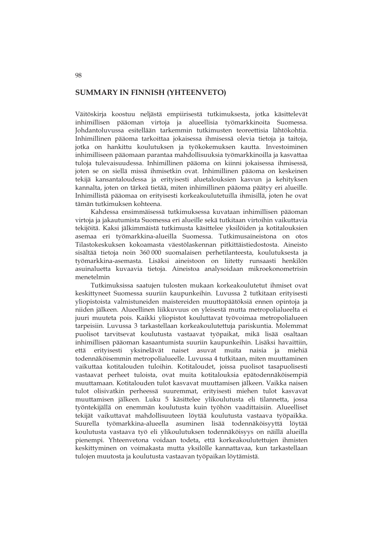## **SUMMARY IN FINNISH (YHTEENVETO)**

Väitöskirja koostuu neljästä empiirisestä tutkimuksesta, jotka käsittelevät inhimillisen pääoman virtoja ja alueellisia työmarkkinoita Suomessa. Johdantoluvussa esitellään tarkemmin tutkimusten teoreettisia lähtökohtia. Inhimillinen pääoma tarkoittaa jokaisessa ihmisessä olevia tietoja ja taitoja, jotka on hankittu koulutuksen ja työkokemuksen kautta. Investoiminen inhimilliseen pääomaan parantaa mahdollisuuksia työmarkkinoilla ja kasvattaa tuloja tulevaisuudessa. Inhimillinen pääoma on kiinni jokaisessa ihmisessä, joten se on siellä missä ihmisetkin ovat. Inhimillinen pääoma on keskeinen tekijä kansantaloudessa ja erityisesti aluetalouksien kasvun ja kehityksen kannalta, joten on tärkeä tietää, miten inhimillinen pääoma päätyy eri alueille. Inhimillistä pääomaa on erityisesti korkeakoulutetuilla ihmisillä, joten he ovat tämän tutkimuksen kohteena.

Kahdessa ensimmäisessä tutkimuksessa kuvataan inhimillisen pääoman virtoja ja jakautumista Suomessa eri alueille sekä tutkitaan virtoihin vaikuttavia tekijöitä. Kaksi jälkimmäistä tutkimusta käsittelee yksilöiden ja kotitalouksien asemaa eri työmarkkina-alueilla Suomessa. Tutkimusaineistona on otos Tilastokeskuksen kokoamasta väestölaskennan pitkittäistiedostosta. Aineisto sisältää tietoja noin 360 000 suomalaisen perhetilanteesta, koulutuksesta ja työmarkkina-asemasta. Lisäksi aineistoon on liitetty runsaasti henkilön asuinaluetta kuvaavia tietoja. Aineistoa analysoidaan mikroekonometrisin menetelmin

Tutkimuksissa saatujen tulosten mukaan korkeakoulutetut ihmiset ovat keskittyneet Suomessa suuriin kaupunkeihin. Luvussa 2 tutkitaan erityisesti yliopistoista valmistuneiden maistereiden muuttopäätöksiä ennen opintoja ja niiden jälkeen. Alueellinen liikkuvuus on yleisestä mutta metropolialueelta ei juuri muuteta pois. Kaikki yliopistot kouluttavat työvoimaa metropolialueen tarpeisiin. Luvussa 3 tarkastellaan korkeakoulutettuja pariskuntia. Molemmat puolisot tarvitsevat koulutusta vastaavat työpaikat, mikä lisää osaltaan inhimillisen pääoman kasaantumista suuriin kaupunkeihin. Lisäksi havaittiin, että erityisesti yksinelävät naiset asuvat muita naisia ja miehiä todennäköisemmin metropolialueelle. Luvussa 4 tutkitaan, miten muuttaminen vaikuttaa kotitalouden tuloihin. Kotitaloudet, joissa puolisot tasapuolisesti vastaavat perheet tuloista, ovat muita kotitalouksia epätodennäköisempiä muuttamaan. Kotitalouden tulot kasvavat muuttamisen jälkeen. Vaikka naisen tulot olisivatkin perheessä suuremmat, erityisesti miehen tulot kasvavat muuttamisen jälkeen. Luku 5 käsittelee ylikoulutusta eli tilannetta, jossa työntekijällä on enemmän koulutusta kuin työhön vaadittaisiin. Alueelliset tekijät vaikuttavat mahdollisuuteen löytää koulutusta vastaava työpaikka. Suurella työmarkkina-alueella asuminen lisää todennäköisyyttä löytää koulutusta vastaava työ eli ylikoulutuksen todennäköisyys on näillä alueilla pienempi. Yhteenvetona voidaan todeta, että korkeakoulutettujen ihmisten keskittyminen on voimakasta mutta yksilölle kannattavaa, kun tarkastellaan tulojen muutosta ja koulutusta vastaavan työpaikan löytämistä.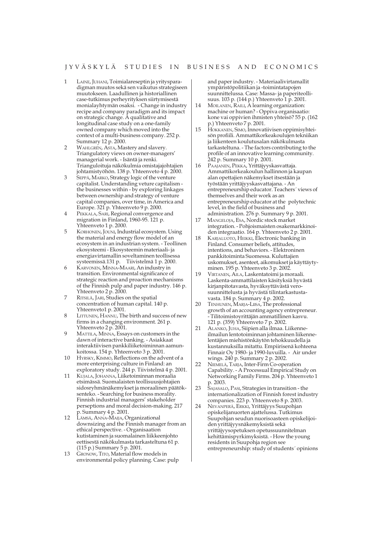#### JYVÄSKYLÄ STUDIES IN BUSINESS AND ECONOMICS

- LAINE, JUHANI, Toimialareseptin ja yritysparadigman muutos sekä sen vaikutus strategiseen muutokseen. Laadullinen ja historiallinen case-tutkimus perheyrityksen siirtymisestä monialayhtymän osaksi. - Change in industry recipe and company paradigm and its impact on strategic change. A qualitative and longitudinal case study on a one-family owned company which moved into the context of a multi-business company. 252 p. Summary 12 p. 2000.
- 2 WAHLGRÉN, ASTA, Mastery and slavery. Triangulatory views on owner-managers' managerial work. - Isäntä ja renki. Trianguloituja näkökulmia omistajajohtajien johtamistyöhön. 138 p. Yhteenveto 4 p. 2000.
- 3 SEPPÄ, MARKO, Strategy logic of the venture capitalist. Understanding veture capitalism the businesses within - by exploring linkages between ownership and strategy of venture capital companies, over time, in America and Europe. 321 p. Yhteenveto 9 p. 2000.
- 4 PEKKALA, SARI, Regional convergence and migration in Finland, 1960-95. 121 p. Yhteenveto 1 p. 2000.
- 5 KORHONEN, JOUNI, Industrial ecosystem. Using the material and energy flow model of an ecosystem in an industrian system. - Teollinen ekosysteemi - Ekosysteemin materiaali- ja energiavirtamallin soveltaminen teollisessa systeemissä.131 p. Tiivistelmä 1 p. 2000.
- 6 KARVONEN, MINNA-MAARI, An industry in transition. Environmental significance of strategic reaction and proaction mechanisms of the Finnish pulp and paper industry. 146 p. Yhteenveto 2 p. 2000.
- RITSILÄ, JARI, Studies on the spatial concentration of human capital. 140 p. Yhteenveto1 p. 2001.
- LITTUNEN, HANNU, The birth and success of new firms in a changing environment. 261 p. Yhteenveto 2 p. 2001.
- MATTILA, MINNA, Essays on customers in the dawn of interactive banking. - Asiakkaat interaktiivisen pankkiliiketoiminnan aamunkoitossa. 154 p. Yhteenveto 3 p. 2001.
- 10 HYRSKY, KIMMO, Reflections on the advent of a more enterprising culture in Finland: an exploratory study. 244 p. Tiivistelmä 4 p. 2001.
- 11 KUJALA, JOHANNA, Liiketoiminnan moraalia etsimässä. Suomalaisten teollisuusjohtajien sidosryhmänäkemykset ja moraalinen päätöksenteko. - Searching for business morality. Finnish industrial managers' stakeholder perseptions and moral decision-making. 217 p. Summary 4 p. 2001.
- 12 LÄMSÄ, ANNA-MAIJA, Organizational downsizing and the Finnish manager from an ethical perspective. - Organisaation kutistaminen ja suomalainen liikkeenjohto eettisestä näkökulmasta tarkasteltuna 61 p. (115 p.) Summary 5 p. 2001.
- 13 GRONOW, TITO, Material flow models in environmental policy planning. Case: pulp

and paper industry. - Materiaalivirtamallit ympäristöpolitiikan ja -toimintatapojen suunnittelussa. Case: Massa- ja paperiteollisuus. 103 p. (144 p.) Yhteenveto 1 p. 2001.

- 14 MOILANEN, RAILI, A learning organization: machine or human? - Oppiva organisaatio: kone vai oppivien ihmisten yhteisö? 55 p. (162 p.) Yhteenveto 7 p. 2001.
- 15 HOKKANEN, SIMO, Innovatiivisen oppimisyhteisön profiili. Ammattikorkeakoulujen tekniikan ja liikenteen koulutusalan näkökulmasta tarkasteltuna. - The factors contributing to the profile of an innovative learning community. 242 p. Summary 10 p. 2001.
- 16 PAAJANEN, PEKKA, Yrittäjyyskasvattaja. Ammattikorkeakoulun hallinnon ja kaupan alan opettajien näkemykset itsestään ja työstään yrittäjyyskasvattajana. - An entrepreneurship educator. Teachers´ views of themselves and their work as an entrepreneurship educator at the polytechnic level, in the field of business and administration. 276 p. Summary 9 p. 2001.
- 17 MANGELOJA, ESA, Nordic stock market integration. - Pohjoismaisten osakemarkkinoiden integraatio. 164 p. Yhteenveto 2 p. 2001.
- 18 KARJALUOTO, HEIKKI, Electronic banking in Finland. Consumer beliefs, attitudes, intentions, and behaviors. - Elektroninen pankkitoiminta Suomessa. Kuluttajien uskomukset, asenteet, aikomukset ja käyttäytyminen. 195 p. Yhteenveto 3 p. 2002.
- 19 VIRTANEN, AILA, Laskentatoimi ja moraali. Laskenta-ammattilaisten käsityksiä hyvästä kirjanpitotavasta, hyväksyttävästä verosuunnittelusta ja hyvästä tilintarkastustavasta. 184 p. Summary 4 p. 2002.
- 20 TENHUNEN, MARJA-LIISA, The professional growth of an accounting agency entrepreneur. - Tilitoimistoyrittäjän ammatillinen kasvu. 121 p. (359) Yhteenveto 7 p. 2002.
- 21 ALANKO, JUHA, Siipien alla ilmaa. Liikenneilmailun lentotoiminnan johtaminen liikennelentäjien miehistönkäytön tehokkuudella ja kustannuksilla mitattu. Empiirisenä kohteena Finnair Oy 1980- ja 1990-luvuilla. - Air under wings. 240 p. Summary 2 p. 2002.
- 22 NIEMELÄ, TARJA, Inter-Firm Co-operation Capability. - A Processual Empirical Study on Networking Family Firms. 204 p. Yhteenveto 1 p. 2003.
- 23 SAJASALO, PASI, Strategies in transition the internationalization of Finnish forest industry companies. 223 p. Yhteenveto 8 p. 2003.
- 24 NEVANPERÄ, ERKKI, Yrittäjyys Suupohjan opiskelijanuorten ajattelussa. Tutkimus Suupohjan seudun nuorisoasteen opiskelijoiden yrittäjyysnäkemyksistä sekä yrittäjyysopetuksen opetussuunnitelman kehittämispyrkimyksistä. - How the young residents in Suupohja region see entrepreneurship: study of students´ opinions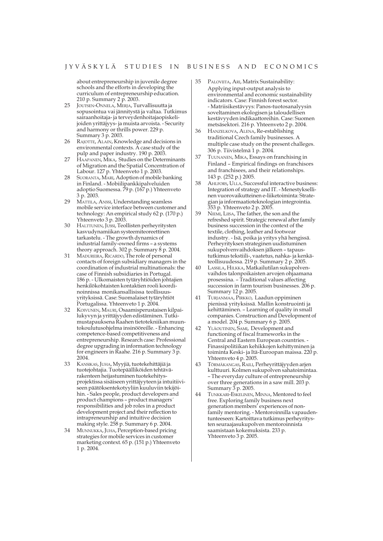about entrepreneurship in juvenile degree schools and the efforts in developing the curriculum of entrepreneurship education. 210 p. Summary 2 p. 2003.

- 25 JOUTSEN-ONNELA, MERJA, Turvallisuutta ja sopusointua vai jännitystä ja valtaa. Tutkimus sairaanhoitaja- ja terveydenhoitajaopiskelijoiden yrittäjyys- ja muista arvoista. - Security and harmony or thrills power. 229 p. Summary 3 p. 2003.
- 26 RAJOTTE, ALAIN, Knowledge and decisions in environmental contexts. A case study of the pulp and paper industry. 190 p. 2003.
- 27 HAAPANEN, MIKA, Studies on the Determinants of Migration and the Spatial Concentration of Labour. 127 p. Yhteenveto 1 p. 2003.
- 28 SUORANTA, MARI, Adoption of mobile banking in Finland. - Mobiilipankkipalveluiden adoptio Suomessa. 79 p. (167 p.) Yhteenveto 3 p. 2003.
- 29 MATTILA, ANSSI, Understanding seamless mobile service interface between customer and technology: An empirical study 62 p. (170 p.) Yhteenveto 3 p. 2003.
- 30 HALTTUNEN, JUSSI, Teollisten perheyritysten kasvudynamiikan systeemiteoreettinen tarkastelu. - The growth dynamics of industrial family-owned firms – a systems theory approach. 302 p. Summary 8 p. 2004.
- MADUREIRA, RICARDO, The role of personal contacts of foreign subsidiary managers in the coordination of industrial multinationals: the case of Finnish subsidiaries in Portugal. 186 p. - Ulkomaisten tytäryhtiöiden johtajien henkilökohtaisten kontaktien rooli koordinoinnissa monikansallisissa teollisuusyrityksissä. Case: Suomalaiset tytäryhtiöt Portugalissa. Yhteenveto 1 p. 2004.
- 32 KOIVUNEN, MAURI, Osaamisperustaisen kilpailukyvyn ja yrittäjyyden edistäminen. Tutkimustapauksena Raahen tietotekniikan muuntokoulutusohjelma insinööreille. - Enhancing competence-based competitiveness and entrepreneurship. Research case: Professional degree upgrading in information technology for engineers in Raahe. 216 p. Summary 3 p. 2004.
- 33 KANSIKAS, JUHA, Myyjiä, tuotekehittäjiä ja tuotejohtajia. Tuotepäälliköiden tehtävärakenteen heijastuminen tuotekehitysprojektissa sisäiseen yrittäjyyteen ja intuitiiviseen päätöksentekotyyliin kuuluviin tekijöihin. - Sales people, product developers and product champions – product managers´ responsibilities and job roles in a product development project and their reflection to intrapreneurship and intuitive decision making style. 258 p. Summary 6 p. 2004.
- 34 MUNNUKKA, JUHA, Perception-based pricing strategies for mobile services in customer marketing context. 65 p. (151 p.) Yhteenveto 1 p. 2004.
- 35 PALOVIITA, ARI, Matrix Sustainability: Applying input-output analysis to environmental and economic sustainability indicators. Case: Finnish forest sector. - Matriisikestävyys: Panos-tuotosanalyysin soveltaminen ekologisen ja taloudellisen kestävyyden indikaattoreihin. Case: Suomen metsäsektori. 216 p. Yhteenveto 2 p. 2004.
- 36 HANZELKOVA, ALENA, Re-establishing traditional Czech family businesses. A multiple case study on the present challeges. 306 p. Tiivistelmä 1 p. 2004.
- 37 TUUNANEN, MIKA, Essays on franchising in Finland – Empirical findings on franchisors and franchisees, and their relationships. 143 p. (252 p.) 2005.
- 38 AHLFORS, ULLA, Successful interactive business: Integration of strategy and IT. - Menestyksellinen vuorovaikutteinen e-liiketoiminta: Strategian ja informaatioteknologian integrointia. 353 p. Yhteenveto 2 p. 2005.
- 39 NIEMI, LIISA, The father, the son and the refreshed spirit. Strategic renewal after family business succession in the context of the textile, clothing, leather and footwear industry. - Isä, poika ja yritys yhä hengissä. Perheyrityksen strateginen uudistuminen sukupolvenvaihdoksen jälkeen – tapaustutkimus tekstiili-, vaatetus, nahka- ja kenkäteollisuudessa. 219 p. Summary 2 p. 2005.
- 40 LASSILA, HILKKA, Matkailutilan sukupolvenvaihdos talonpoikaisten arvojen ohjaamana prosessina. – Traditional values affecting succession in farm tourism businesses. 206 p. Summary 12 p. 2005.
- 41 TURJANMAA, PIRKKO, Laadun oppiminen pienissä yrityksissä. Mallin konstruointi ja kehittäminen. – Learning of quality in small companies. Construction and Development of a model. 204 p. Summary 6 p. 2005.
- 42 YLÄOUTINEN, SAMI, Development and functioning of fiscal frameworks in the Central and Eastern European countries. - Finassipolitiikan kehikkojen kehittyminen ja toiminta Keski- ja Itä-Euroopan maissa. 220 p. Yhteenveto 4 p. 2005.
- 43 TÖRMÄKANGAS, RAILI, Perheyrittäjyyden arjen kulttuuri. Kolmen sukupolven sahatoimintaa. – The everyday culture of entrepreneurship over three generations in a saw mill. 203 p. Summary 3 p. 2005.
- 44 TUNKKARI-ESKELINEN, MINNA, Mentored to feel free. Exploring family business next generation members' experiences of nonfamily mentoring. - Mentoroinnilla vapaudentunteeseen: Kartoittava tutkimus perheyritysten seuraajasukupolven mentoroinnista saamistaan kokemuksista. 233 p. Yhteenveto 3 p. 2005.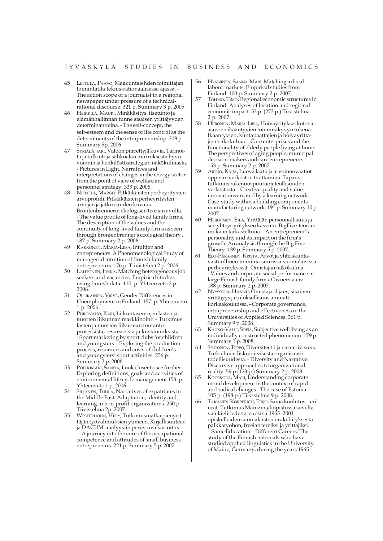#### JYVÄSKYLÄ STUDIES IN BUSINESS AND ECONOMICS

- 45 LINTULA, PAAVO, Maakuntalehden toimittajan toimintatila teknis-rationaalisessa ajassa. - The action scope of a journalist in a regional newspaper under pressure of a technicalrational discourse. 321 p. Summary 3 p. 2005.
- 46 HEIKKILÄ, MAURI, Minäkäsitys, itsetunto ja elämänhallinnan tunne sisäisen yrittäjyyden determinantteina. - The self-concept, the self-esteem and the sense of life control as the determinants of the intrapreneurship. 209 p. Summary 5p. 2006.
- 47 SYRJÄLÄ, JARI, Valoon piirrettyjä kuvia. Tarinoita ja tulkintoja sähköalan murroksesta hyvinvoinnin ja henkilöstöstrategian näkökulmasta. - Pictures in Light. Narratives and interpretations of changes in the energy sector from the point of view of welfare and personnel strategy. 333 p. 2006.
- 48 NIEMELÄ, MARGIT, Pitkäikäisten perheyritysten arvoprofiili. Pitkäikäisten perheyritysten arvojen ja jatkuvuuden kuvaus Bronfenbrennerin ekologisen teorian avulla. - The value profile of long-lived family firms. The description of the values and the continuity of long-lived family firms as seen through Bronfenbrenner's ecological theory . 187 p. Summary 2 p. 2006.
- KAKKONEN, MARJA-LIISA, Intuition and entrepreneurs. A Phenomenological Study of managerial intuition of finnish family entrepreneurs. 176 p. Tiivistelmä 2 p. 2006.
- 50 LAHTONEN, JUKKA, Matching heterogeneous job seekers and vacancies. Empirical studies using finnish data. 110. p. Yhteenveto 2 p. 2006.
- 51 OLLIKAINEN, VIRVE, Gender Differences in Unemployment in Finland. 157. p. Yhteenveto 1 p. 2006.
- 52 PURONAHO, KARI, Liikuntaseurojen lasten ja nuorten liikunnan markkinointi – Tutkimus lasten ja nuorten liikunnan tuotantoprosessista, resursseista ja kustannuksista. - Sport marketing by sport clubs for children and youngsters – Exploring the production process, resources and costs of children's and youngsters' sport activities. 236 p. Summary 3 p. 2006.
- 53 POIKKIMÄKI, SANNA, Look closer to see further. Exploring definitions, goals and activities of environmental life cycle management 153. p. Yhteenveto 1 p. 2006.
- 54 SILJANEN, TUULA, Narratives of expatriates in the Middle East. Adaptation, identity and learning in non-profit organizations. 250 p. Tiivistelmä 2p. 2007.
- 55 WESTERHOLM, HELY, Tutkimusmatka pienyrittäjän työvalmiuksien ytimeen. Kirjallisuuteen ja DACUM-analyysiin perustuva kartoitus. – A journey into the core of the occupational competence and attitudes of small business entrepreneurs. 221 p. Summary 5 p. 2007.
- 56 HYNNINEN, SANNA-MARI, Matching in local labour markets: Empirical studies from Finland. 100 p. Summary 2 p. 2007.
- 57 TOHMO, TIMO, Regional economic structures in Finland: Analyses of location and regional economic impact. 53 p. (273 p.) Tiivistelmä 2 p. 2007.
- 58 HIIRONEN, MARJA-LIISA, Hoivayritykset kotona asuvien ikääntyvien toimintakyvyn tukena. Ikääntyvien, kuntapäättäjien ja hoivayrittäjien näkökulma. - Care enterprises and the functionality of elderly people living at home. The perspectives of aging people, municipal decision-makers and care entrepreneurs. 153 p. Summary 2 p. 2007.
- 59 ARHIO, KAIJA, Luova laatu ja arvoinnovaatiot oppivan verkoston tuottamina. Tapaustutkimus rakennuspuutuoteteollisuuden verkostosta. - Creative quality and value innovations created by a learning network. Case-study within a building components manufacturing network. 191 p. Summary 10 p. 2007.
- 60 HEIKKINEN, EILA, Yrittäjän persoonallisuus ja sen yhteys yrityksen kasvuun BigFive-teorian mukaan tarkasteltuna. - An entrepreneur's personality and its impact on the firm's growth: An analysis through the Big Five Theory. 139 p. Summary 5 p. 2007.
- 61 ELO-PÄRSSINEN, KRISTA, Arvot ja yhteiskuntavastuullinen toiminta suurissa suomalaisissa perheyrityksissä. Omistajan näkökulma. - Values and corporate social performance in large Finnish family firms. Owners view. 188 p. Summary 2 p. 2007.
- 62 NYYSSÖLÄ, HANNU, Omistajaohjaus, sisäinen yrittäjyys ja tuloksellisuus ammattikorkeakouluissa. - Corporate governance, intrapreneurship and effectiveness in the Universities of Applied Sciences. 361 p. Summary 9 p. 2008.
- 63 KAUKO-VALLI, SOFIA, Subjective well-being as an individually constructed phenomenon. 179 p. Summary 1 p. 2008.
- 64 SINTONEN, TEPPO, Diversiteetti ja narratiivisuus. Tutkielmia diskursiivisesta organisaatiotodellisuudesta. - Diversity and Narrative. Discursive approaches to organizational reality. 59 p (123 p.) Summary 2 p. 2008.
- 65 KOOSKORA, MARI, Understanding corporate moral development in the context of rapid and radical changes . The case of Estonia. 105 p. (198 p.) Tiivistelmä 9 p. 2008.
- 66 TAKANEN-KÖRPERICH, PIRJO, Sama koulutus eri urat. Tutkimus Mainzin yliopistossa soveltavaa kielitiedettä vuosina 1965–2001 opiskelleiden suomalaisten urakehityksestä palkkatyöhön, freelancereiksi ja yrittäjiksi. – Same Education – Different Careers. The study of the Finnish nationals who have studied applied linguistics in the University of Mainz, Germany, during the years 1965–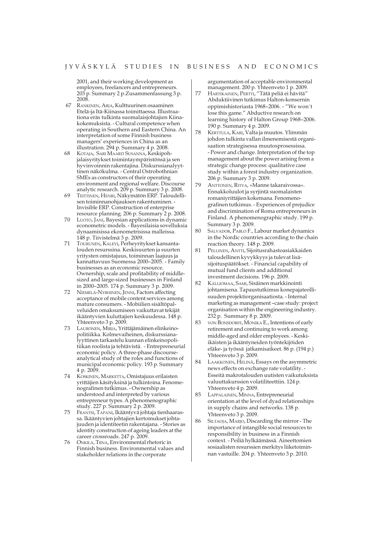2001, and their working development as employees, freelancers and entrepreneurs. 203 p. Summary 2 p.Zusammenfassung 3 p. 2008.

- 67 RANKINEN, ARJA, Kulttuurinen osaaminen Etelä-ja Itä-Kiinassa toimittaessa. Illustraationa eräs tulkinta suomalaisjohtajien Kiinakokemuksista. - Cultural competence when operating in Southern and Eastern China. An interpretation of some Finnish business managers' experiences in China as an illustration. 294 p. Summary 4 p. 2008.
- 68 KOTAJA, SARI MAARIT SUSANNA, Keskipohjalaisyritykset toimintaympäristönsä ja sen hyvinvoinnin rakentajina. Diskurssianalyyttinen näkökulma. - Central Ostrobothnian SMEs as constructors of their operating environment and regional welfare. Discourse analytic research. 209 p. Summary 3 p. 2008.
- 69 TEITTINEN, HENRI, Näkymätön ERP. Taloudellisen toiminnanohjauksen rakentuminen. - Invisible ERP. Construction of enterprise resource planning. 206 p. Summary 2 p. 2008.
- 70 LUOTO, JANI, Bayesian applications in dynamic econometric models. - Bayesilaisia sovelluksia dynaamisissa ekonometrisissa malleissa. 148 p. Tiivistelmä 3 p. 2009.
- 71 TOURUNEN, KALEVI, Perheyritykset kansantalouden resurssina. Keskisuurten ja suurten yritysten omistajuus, toiminnan laajuus ja kannattavuus Suomessa 2000–2005. - Family businesses as an economic resource. Ownership, scale and profitability of middlesized and large-sized businesses in Finland in 2000–2005. 174 p. Summary 3 p. 2009.
- 72 NIEMELÄ-NYRHINEN, JENNI, Factors affecting acceptance of mobile content services among mature consumers. - Mobiilien sisältöpalveluiden omaksumiseen vaikuttavat tekijät ikääntyvien kuluttajien keskuudessa. 148 p. Yhteenveto 3 p. 2009.
- 73 LAURONEN, MIRJA, Yrittäjämäinen elinkeinopolitiikka. Kolmevaiheinen, diskurssianalyyttinen tarkastelu kunnan elinkeinopolitiikan roolista ja tehtävistä. - Entrepreneurial economic policy. A three-phase discourseanalytical study of the roles and functions of municipal economic policy. 193 p. Summary 4 p. 2009.
- 74 KOSKINEN, MARKETTA, Omistajuus erilaisten yrittäjien käsityksinä ja tulkintoina. Fenomenografinen tutkimus. - Ownership as understood and interpreted by various entrepreneur types. A phenomenographic study. 227 p. Summary 2 p. 2009.
- 75 FRANTSI, TAPANI, Ikääntyvä johtaja tienhaarassa. Ikääntyvien johtajien kertomukset johtajuuden ja identiteetin rakentajana. - Stories as identity construction of ageing leaders at the career crossroads. 247 p. 2009.
- 76 ONKILA, TIINA, Environmental rhetoric in Finnish business. Environmental values and stakeholder relations in the corporate

argumentation of acceptable environmental management. 200 p. Yhteenveto 1 p. 2009.

- 77 HARTIKAINEN, PERTTI, "Tätä peliä ei hävitä" Abduktiivinen tutkimus Halton-konsernin oppimishistoriasta 1968–2006. - "We won´t lose this game." Abductive research on learning history of Halton Group 1968–2006. 190 p. Summary 4 p. 2009.
- 78 KERTTULA, KARI, Valta ja muutos. Ylimmän johdon tulkinta vallan ilmenemisestä organisaation strategisessa muutosprosessissa. - Power and change. Interpretation of the top management about the power arising from a strategic change process: qualitative case study within a forest industry organization. 206 p. Summary 3 p. 2009.
- 79 ANTTONEN, RITVA, »Manne takaraivossa». Ennakkoluulot ja syrjintä suomalaisten romaniyrittäjien kokemana. Fenomenografinen tutkimus. - Experiences of prejudice and discrimination of Roma entrepreneurs in Finland. A phenomenographic study. 199 p. Summary 3 p. 2009.
- 80 SALVADOR, PABLO F., Labour market dynamics in the Nordic countries according to the chain reaction theory. 148 p. 2009.
- 81 PELLINEN, ANTTI, Sijoitusrahastoasiakkaiden taloudellinen kyvykkyys ja tulevat lisäsijoituspäätökset. - Financial capability of mutual fund clients and additional investment decisions. 196 p. 2009.
- KALLIOMAA, SAMI, Sisäinen markkinointi johtamisena. Tapaustutkimus konepajateollisuuden projektiorganisaatiosta. - Internal marketing as management –case study: project organisation within the engineering industry. 232 p. Summary 8 p. 2009.
- 83 VON BONSDORFF, MONIKA E., Intentions of early retirement and continuing to work among middle-aged and older employees. - Keskiikäisten ja ikääntyneiden työntekijöiden eläke- ja työssä jatkamisaikeet. 86 p. (194 p.) Yhteenveto 3 p. 2009.
- 84 LAAKKONEN, HELINÄ, Essays on the asymmetric news effects on exchange rate volatility. - Esseitä makrotalouden uutisten vaikutuksista valuuttakurssien volatiliteettiin. 124 p. Yhteenveto 4 p. 2009.
- 85 LAPPALAINEN, MINNA, Entrepreneurial orientation at the level of dyad relationships in supply chains and networks. 138 p. Yhteenveto 3 p. 2009.
- 86 SILTAOJA, MARJO, Discarding the mirror The importance of intangible social resources to responsibility in business in a Finnish context. - Peiliä hylkäämässä. Aineettomien sosiaalisten resurssien merkitys liiketoiminnan vastuille. 204 p. Yhteenveto 3 p. 2010.